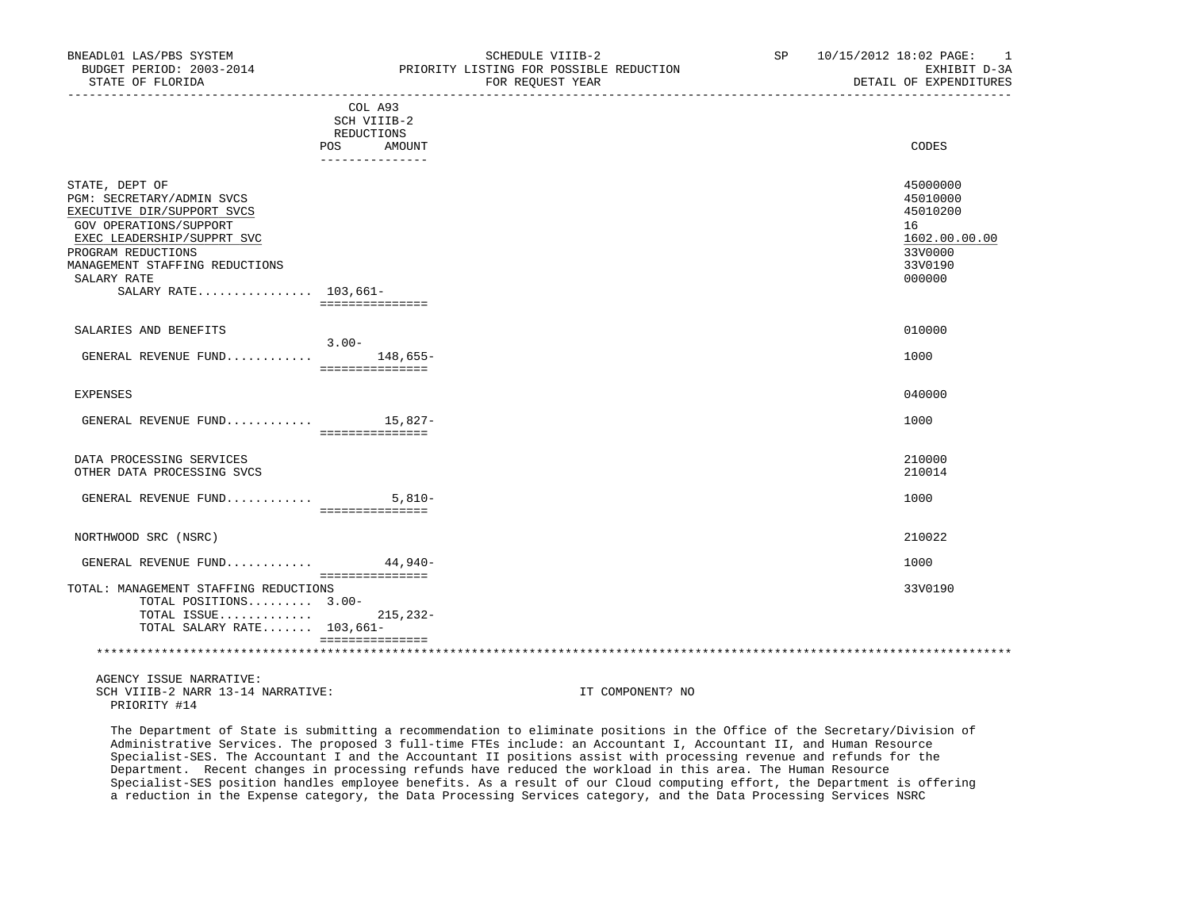| BNEADL01 LAS/PBS SYSTEM<br>BUDGET PERIOD: 2003-2014<br>STATE OF FLORIDA                                                                                                                                                          | PRIORITY LISTING FOR POSSIBLE REDUCTION                               | SCHEDULE VIIIB-2<br>FOR REQUEST YEAR | SP | 10/15/2012 18:02 PAGE:<br>$\overline{\phantom{1}}$<br>EXHIBIT D-3A<br>DETAIL OF EXPENDITURES |
|----------------------------------------------------------------------------------------------------------------------------------------------------------------------------------------------------------------------------------|-----------------------------------------------------------------------|--------------------------------------|----|----------------------------------------------------------------------------------------------|
|                                                                                                                                                                                                                                  | COL A93<br>SCH VIIIB-2<br>REDUCTIONS<br>POS AMOUNT<br>_______________ |                                      |    | CODES                                                                                        |
| STATE, DEPT OF<br>PGM: SECRETARY/ADMIN SVCS<br>EXECUTIVE DIR/SUPPORT SVCS<br>GOV OPERATIONS/SUPPORT<br>EXEC LEADERSHIP/SUPPRT SVC<br>PROGRAM REDUCTIONS<br>MANAGEMENT STAFFING REDUCTIONS<br>SALARY RATE<br>SALARY RATE 103,661- | ===============                                                       |                                      |    | 45000000<br>45010000<br>45010200<br>16<br>1602.00.00.00<br>33V0000<br>33V0190<br>000000      |
| SALARIES AND BENEFITS                                                                                                                                                                                                            | $3.00 -$                                                              |                                      |    | 010000                                                                                       |
| GENERAL REVENUE FUND 148,655-                                                                                                                                                                                                    | ===============                                                       |                                      |    | 1000                                                                                         |
| <b>EXPENSES</b>                                                                                                                                                                                                                  |                                                                       |                                      |    | 040000                                                                                       |
| GENERAL REVENUE FUND $15,827-$                                                                                                                                                                                                   | ================                                                      |                                      |    | 1000                                                                                         |
| DATA PROCESSING SERVICES<br>OTHER DATA PROCESSING SVCS                                                                                                                                                                           |                                                                       |                                      |    | 210000<br>210014                                                                             |
| GENERAL REVENUE FUND                                                                                                                                                                                                             | $5.810-$<br>===============                                           |                                      |    | 1000                                                                                         |
| NORTHWOOD SRC (NSRC)                                                                                                                                                                                                             |                                                                       |                                      |    | 210022                                                                                       |
| GENERAL REVENUE FUND $44,940-$                                                                                                                                                                                                   |                                                                       |                                      |    | 1000                                                                                         |
| TOTAL: MANAGEMENT STAFFING REDUCTIONS<br>TOTAL POSITIONS 3.00-<br>TOTAL ISSUE 215, 232-<br>TOTAL SALARY RATE $103,661-$                                                                                                          | ===============<br>===============                                    |                                      |    | 33V0190                                                                                      |
|                                                                                                                                                                                                                                  |                                                                       |                                      |    |                                                                                              |
| AGENCY ISSUE NARRATIVE:<br>SCH VIIIB-2 NARR 13-14 NARRATIVE:                                                                                                                                                                     |                                                                       | IT COMPONENT? NO                     |    |                                                                                              |

PRIORITY #14

 The Department of State is submitting a recommendation to eliminate positions in the Office of the Secretary/Division of Administrative Services. The proposed 3 full-time FTEs include: an Accountant I, Accountant II, and Human Resource Specialist-SES. The Accountant I and the Accountant II positions assist with processing revenue and refunds for the Department. Recent changes in processing refunds have reduced the workload in this area. The Human Resource Specialist-SES position handles employee benefits. As a result of our Cloud computing effort, the Department is offering a reduction in the Expense category, the Data Processing Services category, and the Data Processing Services NSRC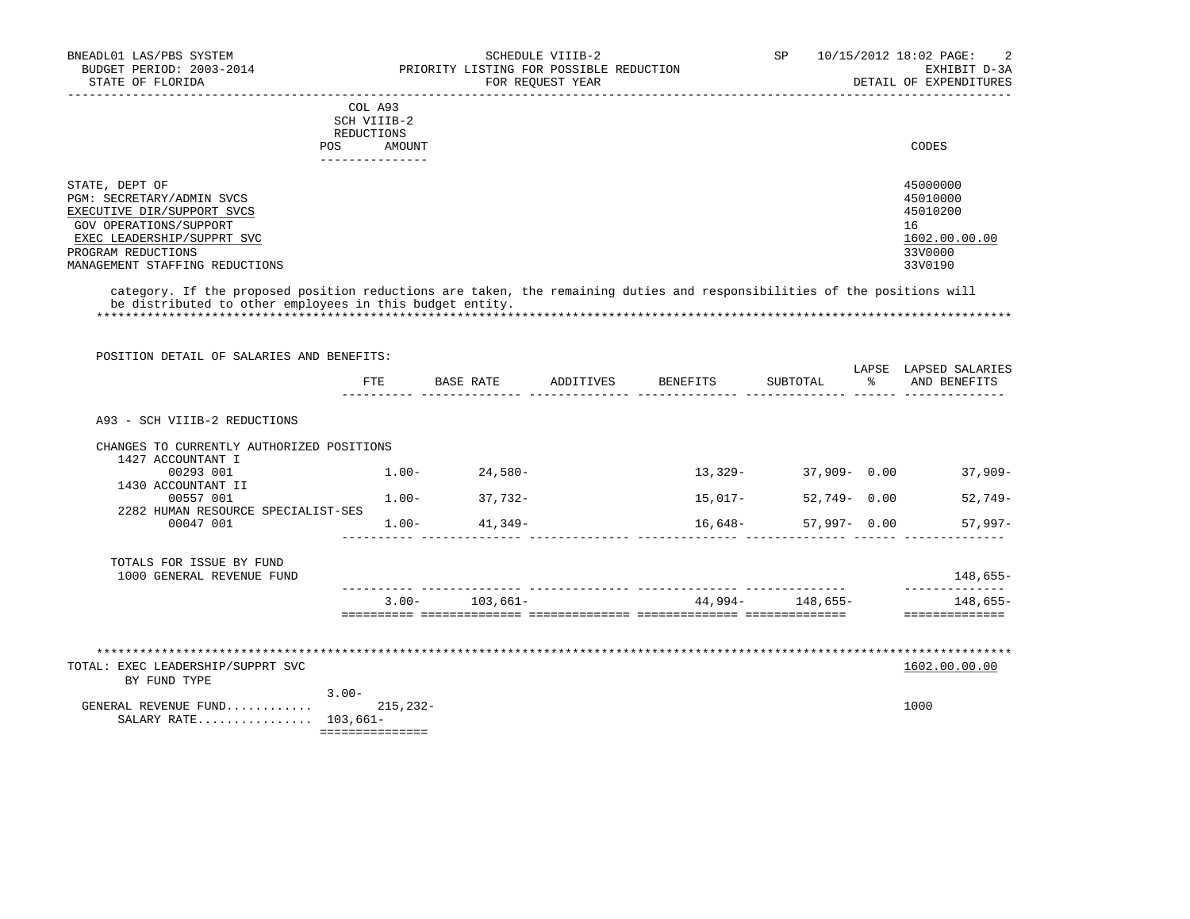| SIAIL UP FLUKIDA               |            |                                      | FUK KEQUESI IEAK | DRIAIL OF RAPENDIIUKES |
|--------------------------------|------------|--------------------------------------|------------------|------------------------|
|                                |            | COL A93<br>SCH VIIIB-2<br>REDUCTIONS |                  |                        |
|                                | <b>POS</b> | AMOUNT                               |                  | CODES                  |
| STATE, DEPT OF                 |            |                                      |                  | 45000000               |
| PGM: SECRETARY/ADMIN SVCS      |            |                                      |                  | 45010000               |
| EXECUTIVE DIR/SUPPORT SVCS     |            |                                      |                  | 45010200               |
| GOV OPERATIONS/SUPPORT         |            |                                      |                  | 16                     |
| EXEC LEADERSHIP/SUPPRT SVC     |            |                                      |                  | 1602.00.00.00          |
| PROGRAM REDUCTIONS             |            |                                      |                  | 33V0000                |
| MANAGEMENT STAFFING REDUCTIONS |            |                                      |                  | 33V0190                |

 category. If the proposed position reductions are taken, the remaining duties and responsibilities of the positions will be distributed to other employees in this budget entity.

\*\*\*\*\*\*\*\*\*\*\*\*\*\*\*\*\*\*\*\*\*\*\*\*\*\*\*\*\*\*\*\*\*\*\*\*\*\*\*\*\*\*\*\*\*\*\*\*\*\*\*\*\*\*\*\*\*\*\*\*\*\*\*\*\*\*\*\*\*\*\*\*\*\*\*\*\*\*\*\*\*\*\*\*\*\*\*\*\*\*\*\*\*\*\*\*\*\*\*\*\*\*\*\*\*\*\*\*\*\*\*\*\*\*\*\*\*\*\*\*\*\*\*\*\*\*\*

 POSITION DETAIL OF SALARIES AND BENEFITS: LAPSE LAPSED SALARIES FTE BASE RATE ADDITIVES BENEFITS SUBTOTAL % AND BENEFITS ---------- -------------- -------------- -------------- -------------- ------ -------------- A93 - SCH VIIIB-2 REDUCTIONS CHANGES TO CURRENTLY AUTHORIZED POSITIONS 1427 ACCOUNTANT I<br>00293 001 00293 001 1.00- 24,580- 13,329- 37,909- 0.00 37,909- 1430 ACCOUNTANT II 00557 001 1.00- 37,732- 15,017- 52,749- 0.00 52,749- 2282 HUMAN RESOURCE SPECIALIST-SES  $1.00-$  41,349- 16,648- 57,997- 0.00 57,997- ---------- -------------- -------------- -------------- -------------- ------ -------------- TOTALS FOR ISSUE BY FUND 1000 GENERAL REVENUE FUND 148,655- ---------- -------------- -------------- -------------- -------------- -------------- 3.00- 103,661- 44,994- 148,655- 148,655- ========== ============== ============== ============== ============== ============== \*\*\*\*\*\*\*\*\*\*\*\*\*\*\*\*\*\*\*\*\*\*\*\*\*\*\*\*\*\*\*\*\*\*\*\*\*\*\*\*\*\*\*\*\*\*\*\*\*\*\*\*\*\*\*\*\*\*\*\*\*\*\*\*\*\*\*\*\*\*\*\*\*\*\*\*\*\*\*\*\*\*\*\*\*\*\*\*\*\*\*\*\*\*\*\*\*\*\*\*\*\*\*\*\*\*\*\*\*\*\*\*\*\*\*\*\*\*\*\*\*\*\*\*\*\*\* TOTAL: EXEC LEADERSHIP/SUPPRT SVC BY FUND TYPE 3.00- GENERAL REVENUE FUND............ 215,232- 1000 SALARY RATE................ 103,661-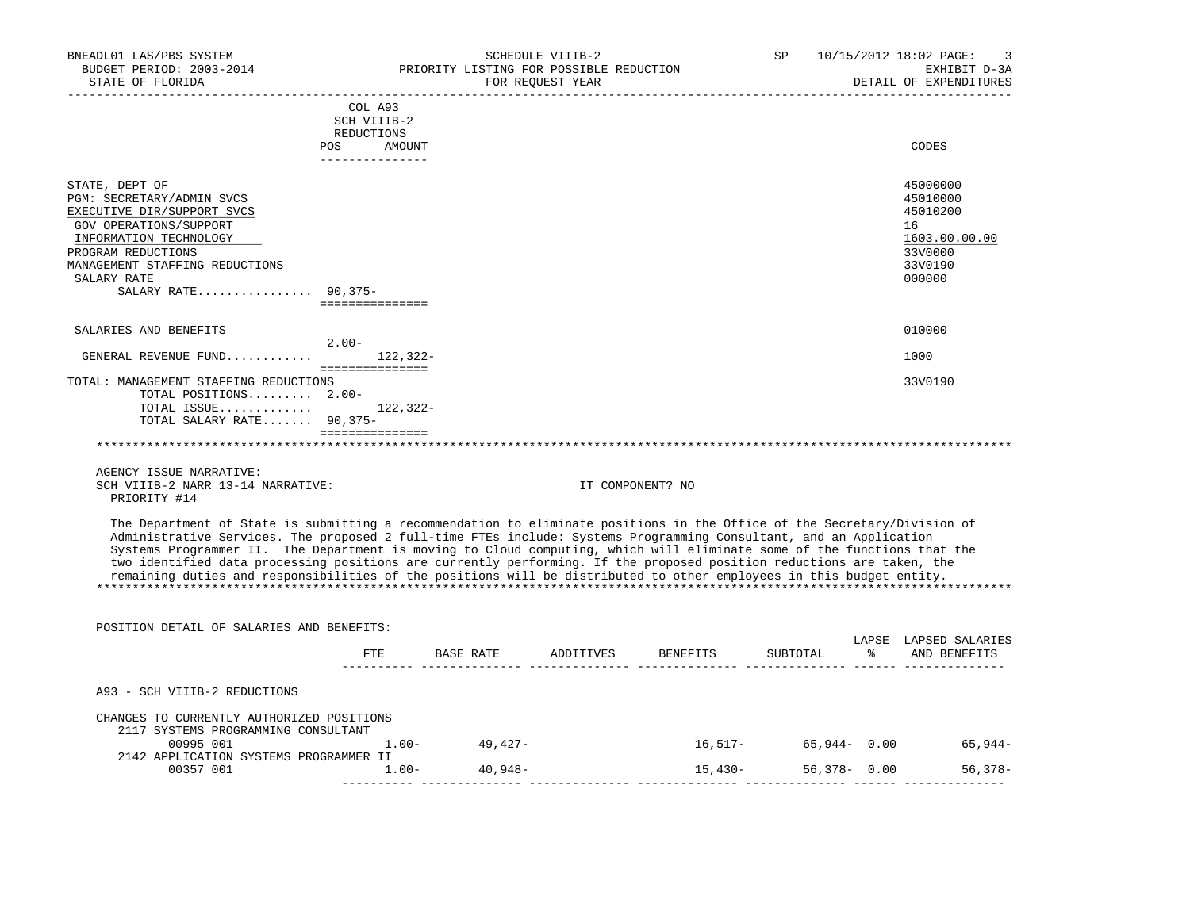| -----------------------------<br>COL A93<br>SCH VIIIB-2<br>REDUCTIONS<br>POS AMOUNT<br>CODES<br>---------------<br>STATE, DEPT OF<br>45000000<br>45010000<br>PGM: SECRETARY/ADMIN SVCS<br>45010200<br>EXECUTIVE DIR/SUPPORT SVCS<br>GOV OPERATIONS/SUPPORT<br>16<br>1603.00.00.00<br>INFORMATION TECHNOLOGY<br>PROGRAM REDUCTIONS<br>33V0000<br>MANAGEMENT STAFFING REDUCTIONS<br>33V0190<br>SALARY RATE<br>000000<br>SALARY RATE 90,375-<br><b>ESSESSESSESSESS</b><br>010000<br>SALARIES AND BENEFITS<br>$2.00 -$<br>1000<br>GENERAL REVENUE FUND<br>122,322-<br>===============<br>33V0190<br>TOTAL: MANAGEMENT STAFFING REDUCTIONS<br>TOTAL POSITIONS 2.00-<br>TOTAL ISSUE $122,322-$<br>TOTAL SALARY RATE $90,375-$<br>----------------<br>AGENCY ISSUE NARRATIVE:<br>SCH VIIIB-2 NARR 13-14 NARRATIVE:<br>IT COMPONENT? NO | 10/15/2012 18:02 PAGE:<br>3<br>EXHIBIT D-3A<br>DETAIL OF EXPENDITURES |
|---------------------------------------------------------------------------------------------------------------------------------------------------------------------------------------------------------------------------------------------------------------------------------------------------------------------------------------------------------------------------------------------------------------------------------------------------------------------------------------------------------------------------------------------------------------------------------------------------------------------------------------------------------------------------------------------------------------------------------------------------------------------------------------------------------------------------------|-----------------------------------------------------------------------|
|                                                                                                                                                                                                                                                                                                                                                                                                                                                                                                                                                                                                                                                                                                                                                                                                                                 |                                                                       |
|                                                                                                                                                                                                                                                                                                                                                                                                                                                                                                                                                                                                                                                                                                                                                                                                                                 |                                                                       |
|                                                                                                                                                                                                                                                                                                                                                                                                                                                                                                                                                                                                                                                                                                                                                                                                                                 |                                                                       |
|                                                                                                                                                                                                                                                                                                                                                                                                                                                                                                                                                                                                                                                                                                                                                                                                                                 |                                                                       |
|                                                                                                                                                                                                                                                                                                                                                                                                                                                                                                                                                                                                                                                                                                                                                                                                                                 |                                                                       |
|                                                                                                                                                                                                                                                                                                                                                                                                                                                                                                                                                                                                                                                                                                                                                                                                                                 |                                                                       |
|                                                                                                                                                                                                                                                                                                                                                                                                                                                                                                                                                                                                                                                                                                                                                                                                                                 |                                                                       |
|                                                                                                                                                                                                                                                                                                                                                                                                                                                                                                                                                                                                                                                                                                                                                                                                                                 |                                                                       |
|                                                                                                                                                                                                                                                                                                                                                                                                                                                                                                                                                                                                                                                                                                                                                                                                                                 |                                                                       |
|                                                                                                                                                                                                                                                                                                                                                                                                                                                                                                                                                                                                                                                                                                                                                                                                                                 |                                                                       |
| PRIORITY #14                                                                                                                                                                                                                                                                                                                                                                                                                                                                                                                                                                                                                                                                                                                                                                                                                    |                                                                       |
| The Department of State is submitting a recommendation to eliminate positions in the Office of the Secretary/Division of<br>Administrative Services. The proposed 2 full-time FTEs include: Systems Programming Consultant, and an Application<br>Systems Programmer II. The Department is moving to Cloud computing, which will eliminate some of the functions that the<br>two identified data processing positions are currently performing. If the proposed position reductions are taken, the<br>remaining duties and responsibilities of the positions will be distributed to other employees in this budget entity.                                                                                                                                                                                                      |                                                                       |
| POSITION DETAIL OF SALARIES AND BENEFITS:<br>LAPSE LAPSED SALARIES                                                                                                                                                                                                                                                                                                                                                                                                                                                                                                                                                                                                                                                                                                                                                              |                                                                       |
| FTE BASE RATE ADDITIVES BENEFITS<br>% AND BENEFITS<br>SUBTOTAL                                                                                                                                                                                                                                                                                                                                                                                                                                                                                                                                                                                                                                                                                                                                                                  |                                                                       |
| A93 - SCH VIIIB-2 REDUCTIONS                                                                                                                                                                                                                                                                                                                                                                                                                                                                                                                                                                                                                                                                                                                                                                                                    |                                                                       |
| CHANGES TO CURRENTLY AUTHORIZED POSITIONS<br>2117 SYSTEMS PROGRAMMING CONSULTANT                                                                                                                                                                                                                                                                                                                                                                                                                                                                                                                                                                                                                                                                                                                                                |                                                                       |
| 00995 001 000<br>$16,517-$ 65,944- 0.00 65,944-<br>$1.00 -$<br>49,427-<br>2142 APPLICATION SYSTEMS PROGRAMMER II                                                                                                                                                                                                                                                                                                                                                                                                                                                                                                                                                                                                                                                                                                                |                                                                       |
| $1.00 - 40,948 -$<br>00357 001<br>56,378- 0.00<br>15,430-                                                                                                                                                                                                                                                                                                                                                                                                                                                                                                                                                                                                                                                                                                                                                                       | 56,378-                                                               |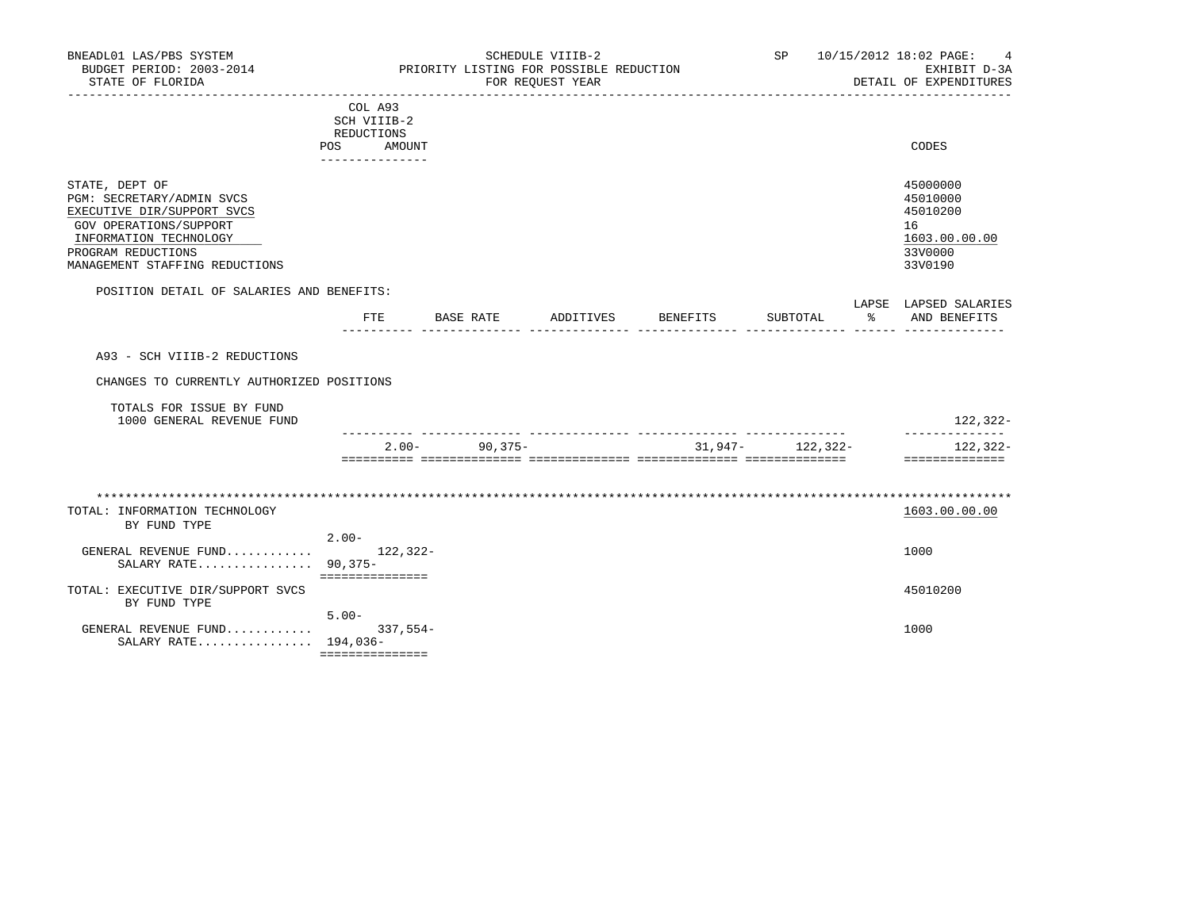| BNEADL01 LAS/PBS SYSTEM<br>BUDGET PERIOD: 2003-2014                                                                                                                                   |                                                    | PRIORITY LISTING FOR POSSIBLE REDUCTION | SCHEDULE VIIIB-2 |                                  |                  | SP 10/15/2012 18:02 PAGE:                                    | $\overline{4}$<br>EXHIBIT D-3A |
|---------------------------------------------------------------------------------------------------------------------------------------------------------------------------------------|----------------------------------------------------|-----------------------------------------|------------------|----------------------------------|------------------|--------------------------------------------------------------|--------------------------------|
| STATE OF FLORIDA                                                                                                                                                                      | ___________________________                        |                                         | FOR REQUEST YEAR |                                  |                  | DETAIL OF EXPENDITURES                                       |                                |
|                                                                                                                                                                                       | COL A93<br>SCH VIIIB-2<br>REDUCTIONS<br>POS AMOUNT |                                         |                  |                                  |                  | CODES                                                        |                                |
|                                                                                                                                                                                       | _______________                                    |                                         |                  |                                  |                  |                                                              |                                |
| STATE, DEPT OF<br>PGM: SECRETARY/ADMIN SVCS<br>EXECUTIVE DIR/SUPPORT SVCS<br>GOV OPERATIONS/SUPPORT<br>INFORMATION TECHNOLOGY<br>PROGRAM REDUCTIONS<br>MANAGEMENT STAFFING REDUCTIONS |                                                    |                                         |                  |                                  |                  | 45000000<br>45010000<br>45010200<br>16<br>33V0000<br>33V0190 | 1603.00.00.00                  |
| POSITION DETAIL OF SALARIES AND BENEFITS:                                                                                                                                             |                                                    |                                         |                  |                                  |                  |                                                              |                                |
|                                                                                                                                                                                       |                                                    |                                         |                  | FTE BASE RATE ADDITIVES BENEFITS | SUBTOTAL         | LAPSE LAPSED SALARIES<br>ော ေ                                | AND BENEFITS                   |
| A93 - SCH VIIIB-2 REDUCTIONS<br>CHANGES TO CURRENTLY AUTHORIZED POSITIONS<br>TOTALS FOR ISSUE BY FUND<br>1000 GENERAL REVENUE FUND                                                    |                                                    |                                         |                  |                                  |                  |                                                              | 122,322-<br>______________     |
|                                                                                                                                                                                       |                                                    | $2.00 - 90.375 -$                       |                  |                                  | 31,947- 122,322- |                                                              | 122,322-<br>==============     |
|                                                                                                                                                                                       |                                                    |                                         |                  |                                  |                  |                                                              |                                |
| TOTAL: INFORMATION TECHNOLOGY                                                                                                                                                         |                                                    |                                         |                  |                                  |                  |                                                              | 1603.00.00.00                  |
| BY FUND TYPE                                                                                                                                                                          | $2.00 -$                                           |                                         |                  |                                  |                  |                                                              |                                |
| GENERAL REVENUE FUND $122,322-$<br>SALARY RATE 90,375-                                                                                                                                | ===============                                    |                                         |                  |                                  |                  | 1000                                                         |                                |
| TOTAL: EXECUTIVE DIR/SUPPORT SVCS<br>BY FUND TYPE                                                                                                                                     |                                                    |                                         |                  |                                  |                  | 45010200                                                     |                                |
| GENERAL REVENUE FUND<br>SALARY RATE 194,036-                                                                                                                                          | $5.00 -$<br>337,554-<br>===============            |                                         |                  |                                  |                  | 1000                                                         |                                |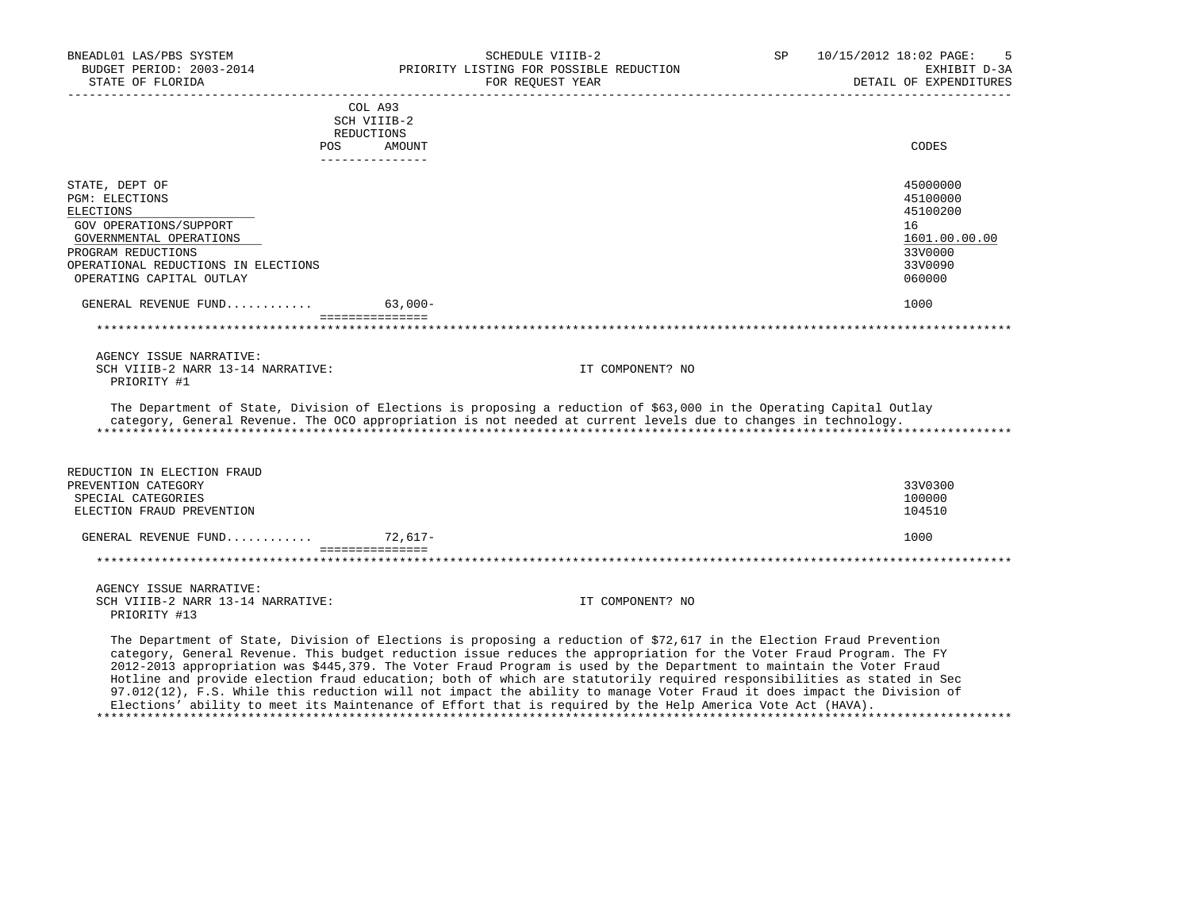| BNEADL01 LAS/PBS SYSTEM<br>BUDGET PERIOD: 2003-2014<br>STATE OF FLORIDA | SCHEDULE VIIIB-2<br>PRIORITY LISTING FOR POSSIBLE REDUCTION<br>FOR REOUEST YEAR                                                                                                                                                                                                                                                                                                                                                                                                                | SP. | 10/15/2012 18:02 PAGE:<br>EXHIBIT D-3A<br>DETAIL OF EXPENDITURES |
|-------------------------------------------------------------------------|------------------------------------------------------------------------------------------------------------------------------------------------------------------------------------------------------------------------------------------------------------------------------------------------------------------------------------------------------------------------------------------------------------------------------------------------------------------------------------------------|-----|------------------------------------------------------------------|
|                                                                         | COL A93                                                                                                                                                                                                                                                                                                                                                                                                                                                                                        |     |                                                                  |
|                                                                         | SCH VIIIB-2                                                                                                                                                                                                                                                                                                                                                                                                                                                                                    |     |                                                                  |
|                                                                         | REDUCTIONS                                                                                                                                                                                                                                                                                                                                                                                                                                                                                     |     |                                                                  |
| POS                                                                     | AMOUNT                                                                                                                                                                                                                                                                                                                                                                                                                                                                                         |     | CODES                                                            |
|                                                                         | ---------------                                                                                                                                                                                                                                                                                                                                                                                                                                                                                |     |                                                                  |
| STATE, DEPT OF                                                          |                                                                                                                                                                                                                                                                                                                                                                                                                                                                                                |     | 45000000                                                         |
| <b>PGM: ELECTIONS</b>                                                   |                                                                                                                                                                                                                                                                                                                                                                                                                                                                                                |     | 45100000                                                         |
| ELECTIONS                                                               |                                                                                                                                                                                                                                                                                                                                                                                                                                                                                                |     | 45100200                                                         |
| GOV OPERATIONS/SUPPORT                                                  |                                                                                                                                                                                                                                                                                                                                                                                                                                                                                                |     | 16                                                               |
| GOVERNMENTAL OPERATIONS                                                 |                                                                                                                                                                                                                                                                                                                                                                                                                                                                                                |     | 1601.00.00.00                                                    |
| PROGRAM REDUCTIONS                                                      |                                                                                                                                                                                                                                                                                                                                                                                                                                                                                                |     | 33V0000                                                          |
| OPERATIONAL REDUCTIONS IN ELECTIONS                                     |                                                                                                                                                                                                                                                                                                                                                                                                                                                                                                |     | 33V0090                                                          |
| OPERATING CAPITAL OUTLAY                                                |                                                                                                                                                                                                                                                                                                                                                                                                                                                                                                |     | 060000                                                           |
| GENERAL REVENUE FUND                                                    | $63,000-$                                                                                                                                                                                                                                                                                                                                                                                                                                                                                      |     | 1000                                                             |
|                                                                         | ===============                                                                                                                                                                                                                                                                                                                                                                                                                                                                                |     |                                                                  |
|                                                                         |                                                                                                                                                                                                                                                                                                                                                                                                                                                                                                |     |                                                                  |
| AGENCY ISSUE NARRATIVE:                                                 |                                                                                                                                                                                                                                                                                                                                                                                                                                                                                                |     |                                                                  |
| SCH VIIIB-2 NARR 13-14 NARRATIVE:                                       | IT COMPONENT? NO                                                                                                                                                                                                                                                                                                                                                                                                                                                                               |     |                                                                  |
| PRIORITY #1                                                             |                                                                                                                                                                                                                                                                                                                                                                                                                                                                                                |     |                                                                  |
|                                                                         | The Department of State, Division of Elections is proposing a reduction of \$63,000 in the Operating Capital Outlay<br>category, General Revenue. The OCO appropriation is not needed at current levels due to changes in technology.                                                                                                                                                                                                                                                          |     |                                                                  |
| REDUCTION IN ELECTION FRAUD                                             |                                                                                                                                                                                                                                                                                                                                                                                                                                                                                                |     |                                                                  |
| PREVENTION CATEGORY                                                     |                                                                                                                                                                                                                                                                                                                                                                                                                                                                                                |     | 33V0300                                                          |
| SPECIAL CATEGORIES                                                      |                                                                                                                                                                                                                                                                                                                                                                                                                                                                                                |     | 100000                                                           |
| ELECTION FRAUD PREVENTION                                               |                                                                                                                                                                                                                                                                                                                                                                                                                                                                                                |     | 104510                                                           |
| GENERAL REVENUE FUND                                                    | 72,617-                                                                                                                                                                                                                                                                                                                                                                                                                                                                                        |     | 1000                                                             |
|                                                                         | ===============                                                                                                                                                                                                                                                                                                                                                                                                                                                                                |     |                                                                  |
|                                                                         |                                                                                                                                                                                                                                                                                                                                                                                                                                                                                                |     |                                                                  |
| AGENCY ISSUE NARRATIVE:<br>SCH VIIIB-2 NARR 13-14 NARRATIVE:            |                                                                                                                                                                                                                                                                                                                                                                                                                                                                                                |     |                                                                  |
| PRIORITY #13                                                            | IT COMPONENT? NO                                                                                                                                                                                                                                                                                                                                                                                                                                                                               |     |                                                                  |
|                                                                         |                                                                                                                                                                                                                                                                                                                                                                                                                                                                                                |     |                                                                  |
|                                                                         | The Department of State, Division of Elections is proposing a reduction of \$72,617 in the Election Fraud Prevention<br>category, General Revenue. This budget reduction issue reduces the appropriation for the Voter Fraud Program. The FY<br>2012-2013 appropriation was \$445,379. The Voter Fraud Program is used by the Department to maintain the Voter Fraud<br>Hotline and provide election fraud education; both of which are statutorily required responsibilities as stated in Sec |     |                                                                  |

 97.012(12), F.S. While this reduction will not impact the ability to manage Voter Fraud it does impact the Division of Elections' ability to meet its Maintenance of Effort that is required by the Help America Vote Act (HAVA).

\*\*\*\*\*\*\*\*\*\*\*\*\*\*\*\*\*\*\*\*\*\*\*\*\*\*\*\*\*\*\*\*\*\*\*\*\*\*\*\*\*\*\*\*\*\*\*\*\*\*\*\*\*\*\*\*\*\*\*\*\*\*\*\*\*\*\*\*\*\*\*\*\*\*\*\*\*\*\*\*\*\*\*\*\*\*\*\*\*\*\*\*\*\*\*\*\*\*\*\*\*\*\*\*\*\*\*\*\*\*\*\*\*\*\*\*\*\*\*\*\*\*\*\*\*\*\*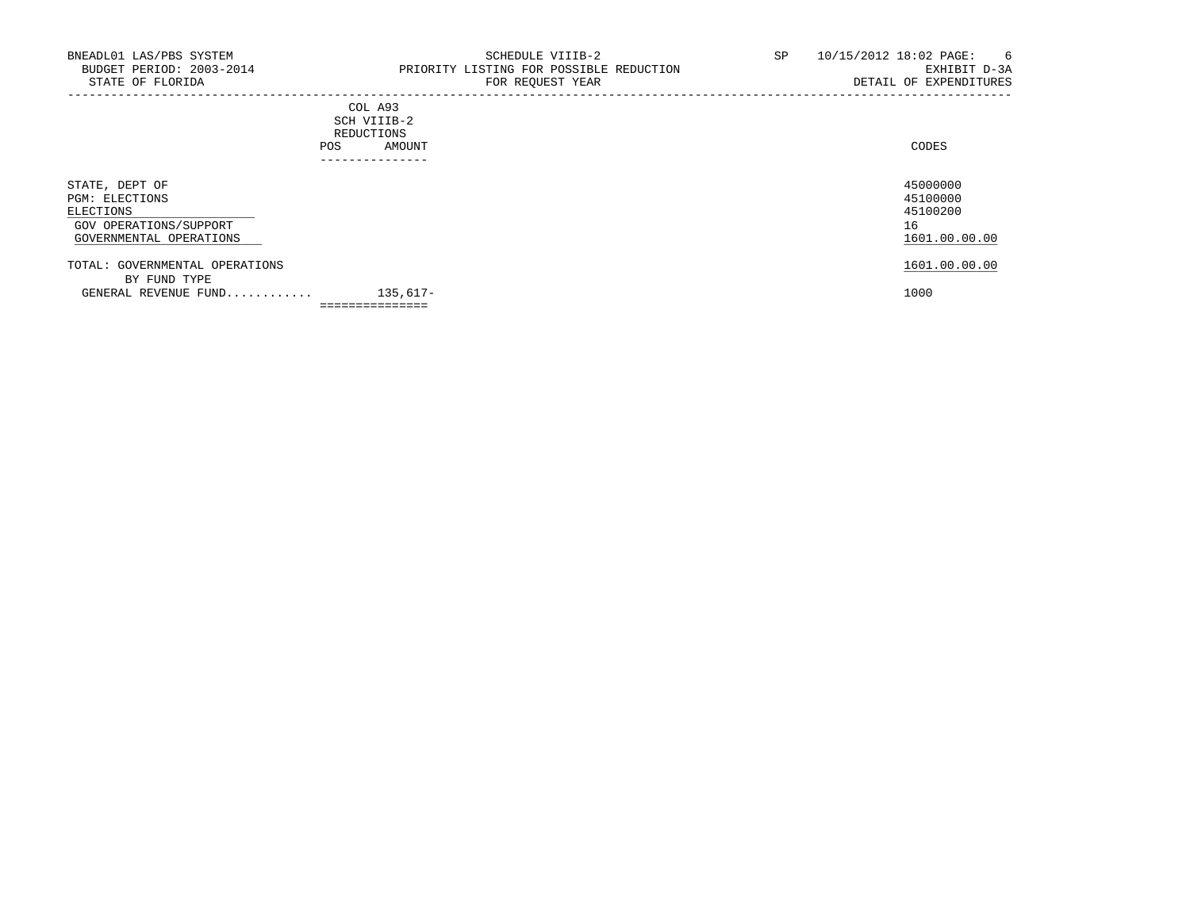| BNEADL01 LAS/PBS SYSTEM<br>BUDGET PERIOD: 2003-2014<br>STATE OF FLORIDA                                   | SCHEDULE VIIIB-2<br>PRIORITY LISTING FOR POSSIBLE REDUCTION<br>FOR REQUEST YEAR | SP | 10/15/2012 18:02 PAGE:<br>- 6<br>EXHIBIT D-3A<br>DETAIL OF EXPENDITURES |
|-----------------------------------------------------------------------------------------------------------|---------------------------------------------------------------------------------|----|-------------------------------------------------------------------------|
|                                                                                                           | COL A93<br>SCH VIIIB-2<br>REDUCTIONS<br>AMOUNT<br><b>POS</b><br>____________    |    | CODES                                                                   |
| STATE, DEPT OF<br><b>PGM: ELECTIONS</b><br>ELECTIONS<br>GOV OPERATIONS/SUPPORT<br>GOVERNMENTAL OPERATIONS |                                                                                 |    | 45000000<br>45100000<br>45100200<br>16<br>1601.00.00.00                 |
| TOTAL: GOVERNMENTAL OPERATIONS                                                                            |                                                                                 |    | 1601.00.00.00                                                           |

 BY FUND TYPE GENERAL REVENUE FUND............ 135,617- 1000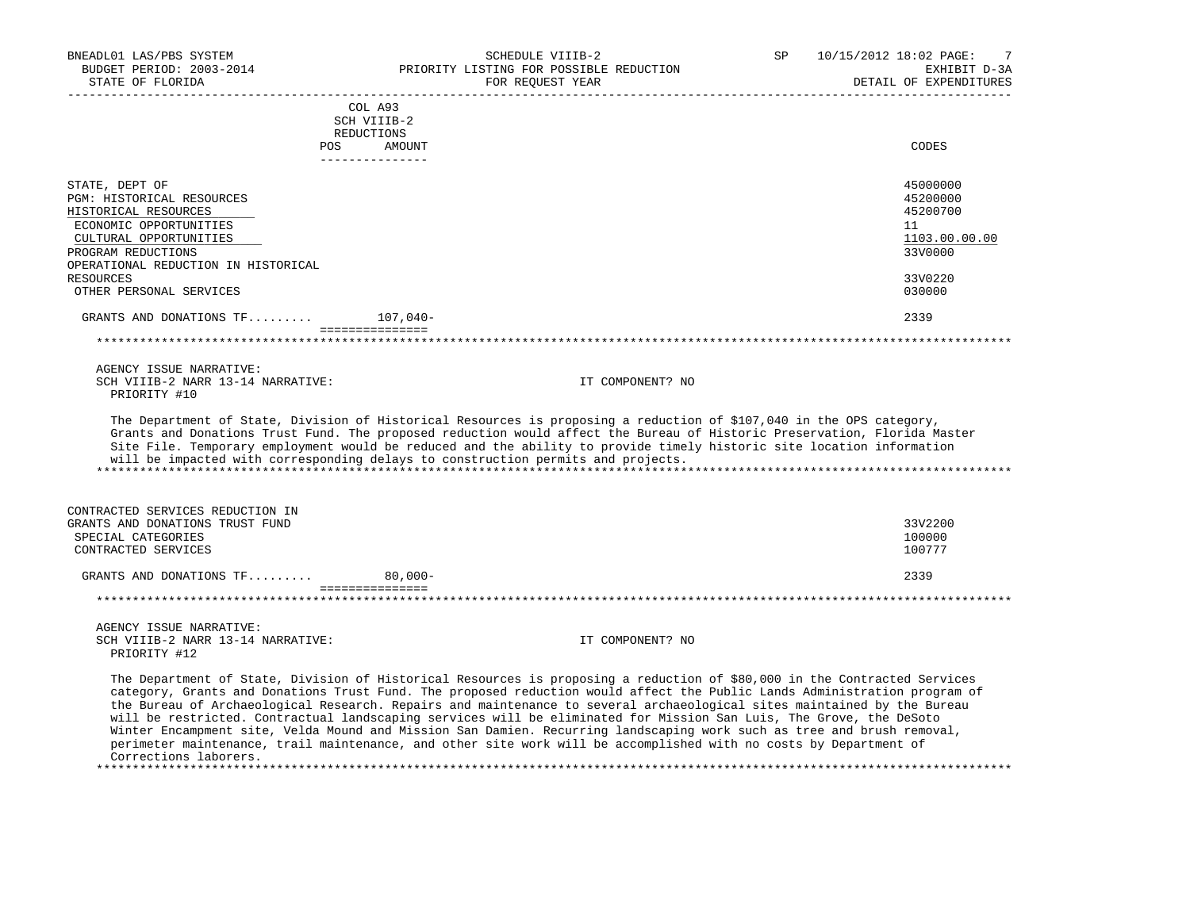| BNEADL01 LAS/PBS SYSTEM<br>BUDGET PERIOD: 2003-2014<br>STATE OF FLORIDA | SCHEDULE VIIIB-2<br>PRIORITY LISTING FOR POSSIBLE REDUCTION<br>FOR REOUEST YEAR                                                                                                                                                                                                                                                                                                                                                                                                                                                                                                                                                                                                                                                                         | SP | 10/15/2012 18:02 PAGE:<br>EXHIBIT D-3A<br>DETAIL OF EXPENDITURES |
|-------------------------------------------------------------------------|---------------------------------------------------------------------------------------------------------------------------------------------------------------------------------------------------------------------------------------------------------------------------------------------------------------------------------------------------------------------------------------------------------------------------------------------------------------------------------------------------------------------------------------------------------------------------------------------------------------------------------------------------------------------------------------------------------------------------------------------------------|----|------------------------------------------------------------------|
|                                                                         | COL A93                                                                                                                                                                                                                                                                                                                                                                                                                                                                                                                                                                                                                                                                                                                                                 |    |                                                                  |
|                                                                         | SCH VIIIB-2                                                                                                                                                                                                                                                                                                                                                                                                                                                                                                                                                                                                                                                                                                                                             |    |                                                                  |
|                                                                         | REDUCTIONS                                                                                                                                                                                                                                                                                                                                                                                                                                                                                                                                                                                                                                                                                                                                              |    |                                                                  |
| POS                                                                     | AMOUNT<br>---------------                                                                                                                                                                                                                                                                                                                                                                                                                                                                                                                                                                                                                                                                                                                               |    | CODES                                                            |
| STATE, DEPT OF                                                          |                                                                                                                                                                                                                                                                                                                                                                                                                                                                                                                                                                                                                                                                                                                                                         |    | 45000000                                                         |
| PGM: HISTORICAL RESOURCES                                               |                                                                                                                                                                                                                                                                                                                                                                                                                                                                                                                                                                                                                                                                                                                                                         |    | 45200000                                                         |
| HISTORICAL RESOURCES                                                    |                                                                                                                                                                                                                                                                                                                                                                                                                                                                                                                                                                                                                                                                                                                                                         |    | 45200700                                                         |
| ECONOMIC OPPORTUNITIES                                                  |                                                                                                                                                                                                                                                                                                                                                                                                                                                                                                                                                                                                                                                                                                                                                         |    | 11                                                               |
| CULTURAL OPPORTUNITIES                                                  |                                                                                                                                                                                                                                                                                                                                                                                                                                                                                                                                                                                                                                                                                                                                                         |    | 1103.00.00.00                                                    |
| PROGRAM REDUCTIONS                                                      |                                                                                                                                                                                                                                                                                                                                                                                                                                                                                                                                                                                                                                                                                                                                                         |    | 33V0000                                                          |
| OPERATIONAL REDUCTION IN HISTORICAL                                     |                                                                                                                                                                                                                                                                                                                                                                                                                                                                                                                                                                                                                                                                                                                                                         |    |                                                                  |
| RESOURCES                                                               |                                                                                                                                                                                                                                                                                                                                                                                                                                                                                                                                                                                                                                                                                                                                                         |    | 33V0220                                                          |
| OTHER PERSONAL SERVICES                                                 |                                                                                                                                                                                                                                                                                                                                                                                                                                                                                                                                                                                                                                                                                                                                                         |    | 030000                                                           |
| GRANTS AND DONATIONS $TF \ldots \ldots$ 107,040-                        |                                                                                                                                                                                                                                                                                                                                                                                                                                                                                                                                                                                                                                                                                                                                                         |    | 2339                                                             |
|                                                                         | ----------------                                                                                                                                                                                                                                                                                                                                                                                                                                                                                                                                                                                                                                                                                                                                        |    |                                                                  |
| AGENCY ISSUE NARRATIVE:                                                 |                                                                                                                                                                                                                                                                                                                                                                                                                                                                                                                                                                                                                                                                                                                                                         |    |                                                                  |
| SCH VIIIB-2 NARR 13-14 NARRATIVE:                                       | IT COMPONENT? NO                                                                                                                                                                                                                                                                                                                                                                                                                                                                                                                                                                                                                                                                                                                                        |    |                                                                  |
| PRIORITY #10                                                            |                                                                                                                                                                                                                                                                                                                                                                                                                                                                                                                                                                                                                                                                                                                                                         |    |                                                                  |
|                                                                         | The Department of State, Division of Historical Resources is proposing a reduction of \$107,040 in the OPS category,<br>Grants and Donations Trust Fund. The proposed reduction would affect the Bureau of Historic Preservation, Florida Master<br>Site File. Temporary employment would be reduced and the ability to provide timely historic site location information<br>will be impacted with corresponding delays to construction permits and projects.                                                                                                                                                                                                                                                                                           |    |                                                                  |
| CONTRACTED SERVICES REDUCTION IN                                        |                                                                                                                                                                                                                                                                                                                                                                                                                                                                                                                                                                                                                                                                                                                                                         |    |                                                                  |
| GRANTS AND DONATIONS TRUST FUND                                         |                                                                                                                                                                                                                                                                                                                                                                                                                                                                                                                                                                                                                                                                                                                                                         |    | 33V2200                                                          |
| SPECIAL CATEGORIES                                                      |                                                                                                                                                                                                                                                                                                                                                                                                                                                                                                                                                                                                                                                                                                                                                         |    | 100000                                                           |
| CONTRACTED SERVICES                                                     |                                                                                                                                                                                                                                                                                                                                                                                                                                                                                                                                                                                                                                                                                                                                                         |    | 100777                                                           |
| GRANTS AND DONATIONS $TF$                                               | $80.000 -$                                                                                                                                                                                                                                                                                                                                                                                                                                                                                                                                                                                                                                                                                                                                              |    | 2339                                                             |
|                                                                         | ===============                                                                                                                                                                                                                                                                                                                                                                                                                                                                                                                                                                                                                                                                                                                                         |    |                                                                  |
| AGENCY ISSUE NARRATIVE:                                                 |                                                                                                                                                                                                                                                                                                                                                                                                                                                                                                                                                                                                                                                                                                                                                         |    |                                                                  |
| SCH VIIIB-2 NARR 13-14 NARRATIVE:<br>PRIORITY #12                       | IT COMPONENT? NO                                                                                                                                                                                                                                                                                                                                                                                                                                                                                                                                                                                                                                                                                                                                        |    |                                                                  |
|                                                                         | The Department of State, Division of Historical Resources is proposing a reduction of \$80,000 in the Contracted Services<br>category, Grants and Donations Trust Fund. The proposed reduction would affect the Public Lands Administration program of<br>the Bureau of Archaeological Research. Repairs and maintenance to several archaeological sites maintained by the Bureau<br>will be restricted. Contractual landscaping services will be eliminated for Mission San Luis, The Grove, the DeSoto<br>Winter Encampment site, Velda Mound and Mission San Damien. Recurring landscaping work such as tree and brush removal,<br>perimeter maintenance, trail maintenance, and other site work will be accomplished with no costs by Department of |    |                                                                  |

Corrections laborers.

\*\*\*\*\*\*\*\*\*\*\*\*\*\*\*\*\*\*\*\*\*\*\*\*\*\*\*\*\*\*\*\*\*\*\*\*\*\*\*\*\*\*\*\*\*\*\*\*\*\*\*\*\*\*\*\*\*\*\*\*\*\*\*\*\*\*\*\*\*\*\*\*\*\*\*\*\*\*\*\*\*\*\*\*\*\*\*\*\*\*\*\*\*\*\*\*\*\*\*\*\*\*\*\*\*\*\*\*\*\*\*\*\*\*\*\*\*\*\*\*\*\*\*\*\*\*\*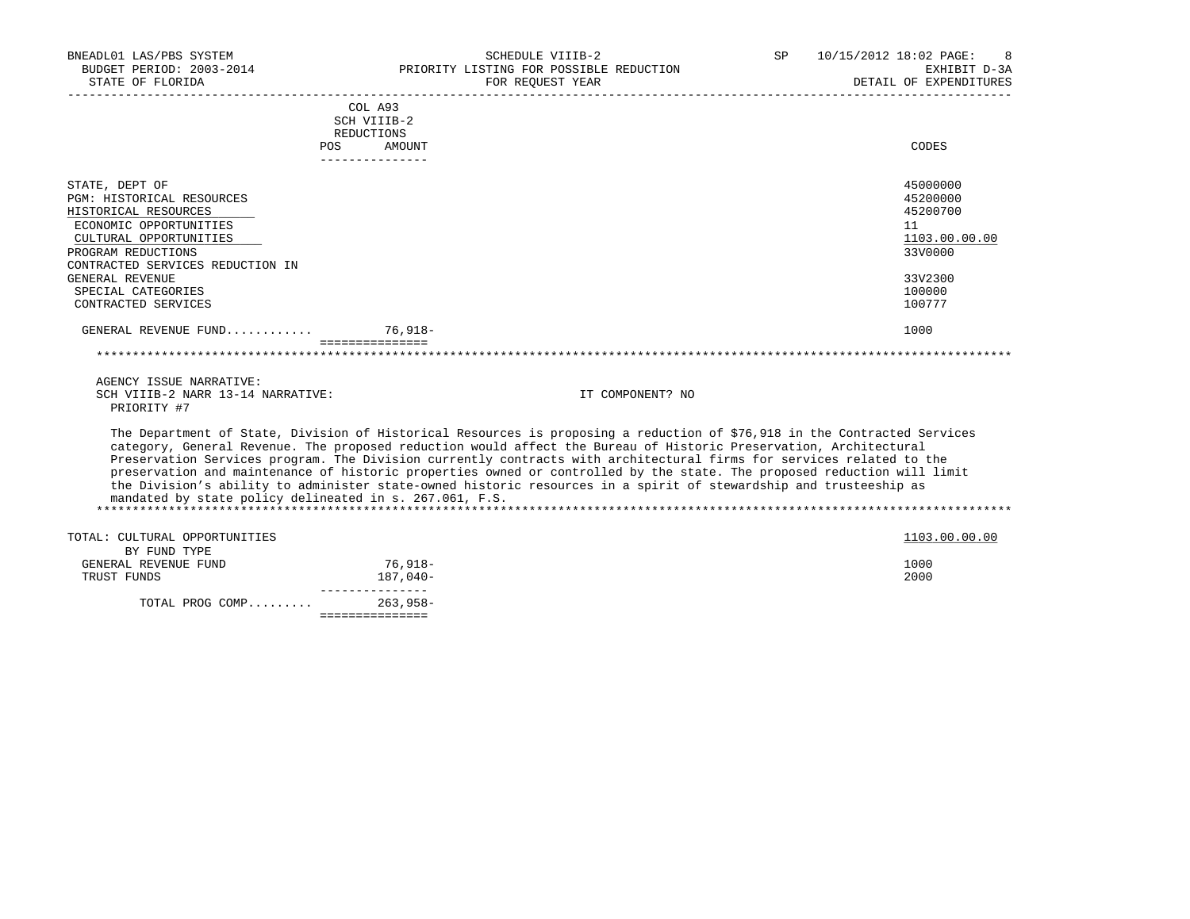| BNEADL01 LAS/PBS SYSTEM<br>BUDGET PERIOD: 2003-2014 PRIORITY LISTING FOR POSSIBLE REDUCTION                                                                                                                                |                                         | SCHEDULE VIIIB-2                                                                                                                                                                                                                                                                                                                                                                                                                                                                                                                                                                                                       | SP | 10/15/2012 18:02 PAGE:<br>EXHIBIT D-3A                                                  |
|----------------------------------------------------------------------------------------------------------------------------------------------------------------------------------------------------------------------------|-----------------------------------------|------------------------------------------------------------------------------------------------------------------------------------------------------------------------------------------------------------------------------------------------------------------------------------------------------------------------------------------------------------------------------------------------------------------------------------------------------------------------------------------------------------------------------------------------------------------------------------------------------------------------|----|-----------------------------------------------------------------------------------------|
| STATE OF FLORIDA                                                                                                                                                                                                           |                                         | FOR REOUEST YEAR                                                                                                                                                                                                                                                                                                                                                                                                                                                                                                                                                                                                       |    | DETAIL OF EXPENDITURES                                                                  |
|                                                                                                                                                                                                                            | COL A93<br>SCH VIIIB-2<br>REDUCTIONS    |                                                                                                                                                                                                                                                                                                                                                                                                                                                                                                                                                                                                                        |    |                                                                                         |
|                                                                                                                                                                                                                            | <b>POS</b><br>AMOUNT<br>--------------- |                                                                                                                                                                                                                                                                                                                                                                                                                                                                                                                                                                                                                        |    | CODES                                                                                   |
| STATE, DEPT OF<br>PGM: HISTORICAL RESOURCES<br>HISTORICAL RESOURCES<br>ECONOMIC OPPORTUNITIES<br>CULTURAL OPPORTUNITIES<br>PROGRAM REDUCTIONS<br>CONTRACTED SERVICES REDUCTION IN<br>GENERAL REVENUE<br>SPECIAL CATEGORIES |                                         |                                                                                                                                                                                                                                                                                                                                                                                                                                                                                                                                                                                                                        |    | 45000000<br>45200000<br>45200700<br>11<br>1103.00.00.00<br>33V0000<br>33V2300<br>100000 |
| CONTRACTED SERVICES                                                                                                                                                                                                        |                                         |                                                                                                                                                                                                                                                                                                                                                                                                                                                                                                                                                                                                                        |    | 100777                                                                                  |
| GENERAL REVENUE FUND 76,918-                                                                                                                                                                                               | ===============                         |                                                                                                                                                                                                                                                                                                                                                                                                                                                                                                                                                                                                                        |    | 1000                                                                                    |
|                                                                                                                                                                                                                            |                                         |                                                                                                                                                                                                                                                                                                                                                                                                                                                                                                                                                                                                                        |    |                                                                                         |
| AGENCY ISSUE NARRATIVE:<br>SCH VIIIB-2 NARR 13-14 NARRATIVE:<br>PRIORITY #7                                                                                                                                                |                                         | IT COMPONENT? NO                                                                                                                                                                                                                                                                                                                                                                                                                                                                                                                                                                                                       |    |                                                                                         |
| mandated by state policy delineated in s. 267.061, F.S.                                                                                                                                                                    |                                         | The Department of State, Division of Historical Resources is proposing a reduction of \$76,918 in the Contracted Services<br>category, General Revenue. The proposed reduction would affect the Bureau of Historic Preservation, Architectural<br>Preservation Services program. The Division currently contracts with architectural firms for services related to the<br>preservation and maintenance of historic properties owned or controlled by the state. The proposed reduction will limit<br>the Division's ability to administer state-owned historic resources in a spirit of stewardship and trusteeship as |    |                                                                                         |
| TOTAL: CULTURAL OPPORTUNITIES                                                                                                                                                                                              |                                         |                                                                                                                                                                                                                                                                                                                                                                                                                                                                                                                                                                                                                        |    | 1103.00.00.00                                                                           |
| BY FUND TYPE<br>GENERAL REVENUE FUND                                                                                                                                                                                       | 76,918-                                 |                                                                                                                                                                                                                                                                                                                                                                                                                                                                                                                                                                                                                        |    | 1000                                                                                    |
| TRUST FUNDS                                                                                                                                                                                                                | 187,040-                                |                                                                                                                                                                                                                                                                                                                                                                                                                                                                                                                                                                                                                        |    | 2000                                                                                    |
| TOTAL PROG COMP                                                                                                                                                                                                            | ----------------<br>263,958-            |                                                                                                                                                                                                                                                                                                                                                                                                                                                                                                                                                                                                                        |    |                                                                                         |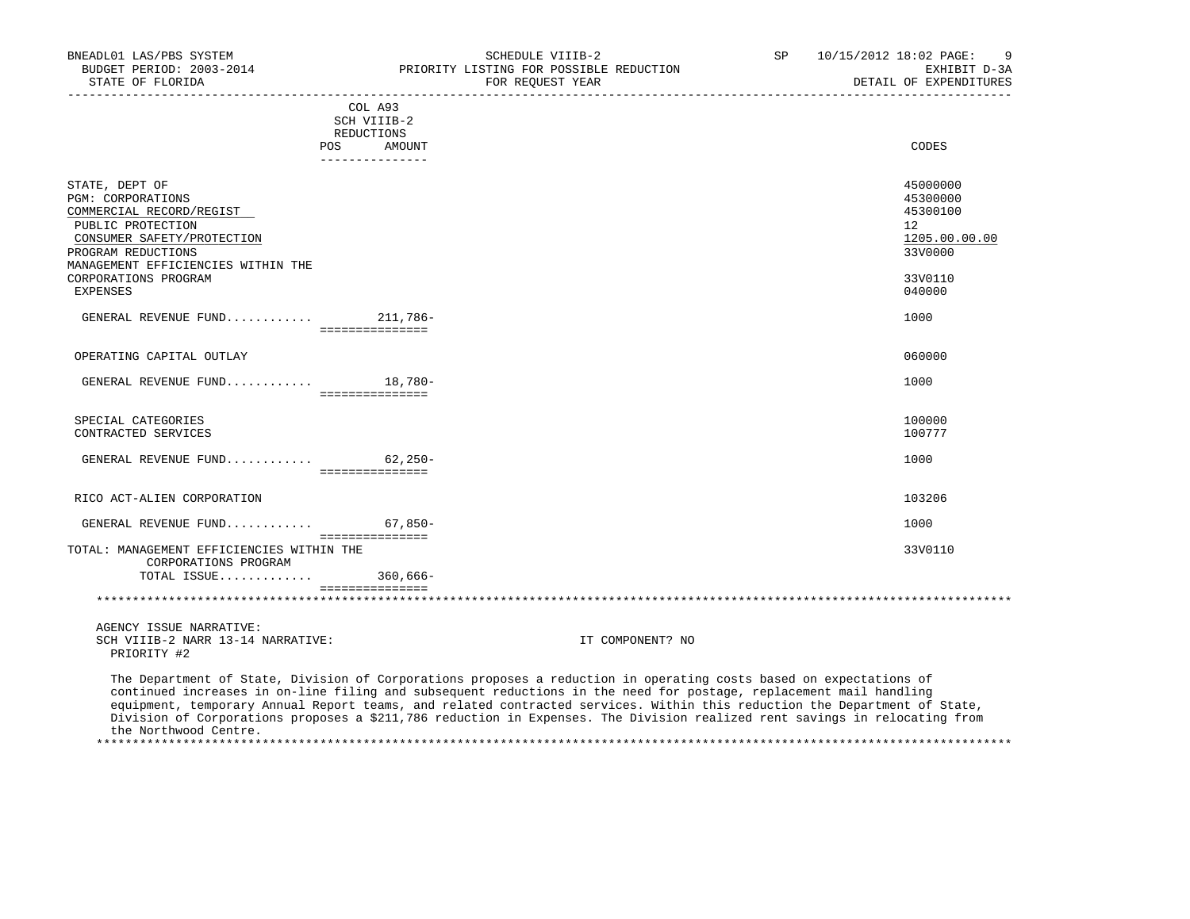| BNEADL01 LAS/PBS SYSTEM<br>BUDGET PERIOD: 2003-2014 PRIORITY LISTING FOR POSSIBLE REDUCTION                                              |                                      | SCHEDULE VIIIB-2                                                                                                                                                                                                                                                                                                                                            | SP 10/15/2012 18:02 PAGE:<br>-9<br>EXHIBIT D-3A                                 |
|------------------------------------------------------------------------------------------------------------------------------------------|--------------------------------------|-------------------------------------------------------------------------------------------------------------------------------------------------------------------------------------------------------------------------------------------------------------------------------------------------------------------------------------------------------------|---------------------------------------------------------------------------------|
| STATE OF FLORIDA                                                                                                                         |                                      | FOR REOUEST YEAR                                                                                                                                                                                                                                                                                                                                            | EXHIBII D-SA EXPENDITURES                                                       |
|                                                                                                                                          | COL A93<br>SCH VIIIB-2<br>REDUCTIONS |                                                                                                                                                                                                                                                                                                                                                             |                                                                                 |
|                                                                                                                                          | POS AMOUNT<br>_______________        |                                                                                                                                                                                                                                                                                                                                                             | CODES                                                                           |
| STATE, DEPT OF<br>PGM: CORPORATIONS<br>COMMERCIAL RECORD/REGIST<br>PUBLIC PROTECTION<br>CONSUMER SAFETY/PROTECTION<br>PROGRAM REDUCTIONS |                                      |                                                                                                                                                                                                                                                                                                                                                             | 45000000<br>45300000<br>45300100<br>12 <sup>°</sup><br>1205.00.00.00<br>33V0000 |
| MANAGEMENT EFFICIENCIES WITHIN THE<br>CORPORATIONS PROGRAM<br>EXPENSES                                                                   |                                      |                                                                                                                                                                                                                                                                                                                                                             | 33V0110<br>040000                                                               |
| GENERAL REVENUE FUND 211,786-                                                                                                            | ================                     |                                                                                                                                                                                                                                                                                                                                                             | 1000                                                                            |
| OPERATING CAPITAL OUTLAY                                                                                                                 |                                      |                                                                                                                                                                                                                                                                                                                                                             | 060000                                                                          |
| GENERAL REVENUE FUND 18,780-                                                                                                             | ===============                      |                                                                                                                                                                                                                                                                                                                                                             | 1000                                                                            |
| SPECIAL CATEGORIES<br>CONTRACTED SERVICES                                                                                                |                                      |                                                                                                                                                                                                                                                                                                                                                             | 100000<br>100777                                                                |
| GENERAL REVENUE FUND 62,250-                                                                                                             |                                      |                                                                                                                                                                                                                                                                                                                                                             | 1000                                                                            |
| RICO ACT-ALIEN CORPORATION                                                                                                               |                                      |                                                                                                                                                                                                                                                                                                                                                             | 103206                                                                          |
| GENERAL REVENUE FUND 67,850-                                                                                                             | ===============                      |                                                                                                                                                                                                                                                                                                                                                             | 1000                                                                            |
| TOTAL: MANAGEMENT EFFICIENCIES WITHIN THE<br>CORPORATIONS PROGRAM                                                                        |                                      |                                                                                                                                                                                                                                                                                                                                                             | 33V0110                                                                         |
| TOTAL ISSUE 360,666-                                                                                                                     | ===============                      |                                                                                                                                                                                                                                                                                                                                                             |                                                                                 |
|                                                                                                                                          |                                      |                                                                                                                                                                                                                                                                                                                                                             |                                                                                 |
| AGENCY ISSUE NARRATIVE:<br>SCH VIIIB-2 NARR 13-14 NARRATIVE:<br>PRIORITY #2                                                              |                                      | IT COMPONENT? NO                                                                                                                                                                                                                                                                                                                                            |                                                                                 |
|                                                                                                                                          |                                      | The Department of State, Division of Corporations proposes a reduction in operating costs based on expectations of<br>continued increases in on-line filing and subsequent reductions in the need for postage, replacement mail handling<br>distribution and the company of state and the company of the state of the state of the state of the state of an |                                                                                 |

 equipment, temporary Annual Report teams, and related contracted services. Within this reduction the Department of State, Division of Corporations proposes a \$211,786 reduction in Expenses. The Division realized rent savings in relocating from the Northwood Centre. \*\*\*\*\*\*\*\*\*\*\*\*\*\*\*\*\*\*\*\*\*\*\*\*\*\*\*\*\*\*\*\*\*\*\*\*\*\*\*\*\*\*\*\*\*\*\*\*\*\*\*\*\*\*\*\*\*\*\*\*\*\*\*\*\*\*\*\*\*\*\*\*\*\*\*\*\*\*\*\*\*\*\*\*\*\*\*\*\*\*\*\*\*\*\*\*\*\*\*\*\*\*\*\*\*\*\*\*\*\*\*\*\*\*\*\*\*\*\*\*\*\*\*\*\*\*\*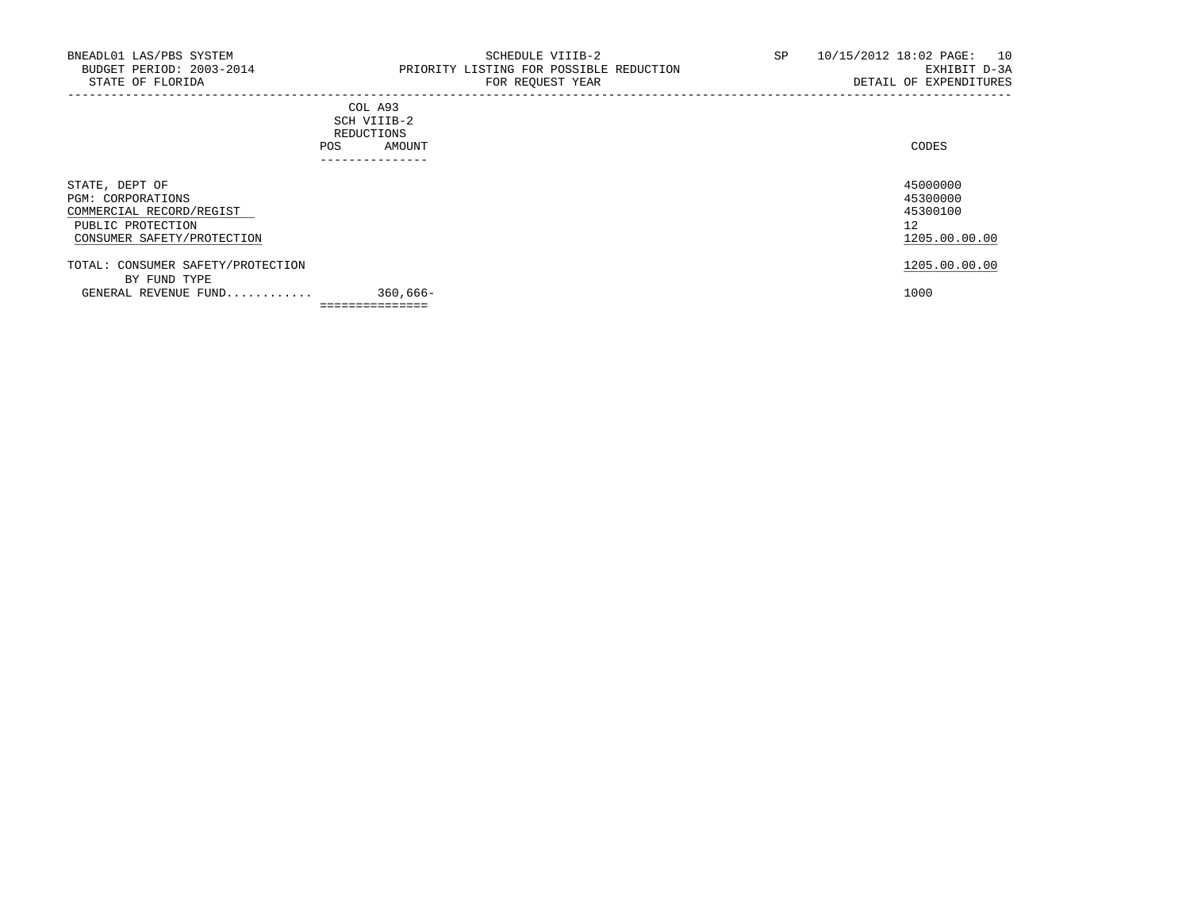-----------------------------------------------------------------------------------------------------------------------------------

## COL A93 SCH VIIIB-2 REDUCTIONS POS AMOUNT ---------------

| STATE, DEPT OF<br>PGM: CORPORATIONS<br>COMMERCIAL RECORD/REGIST<br>PUBLIC PROTECTION<br>CONSUMER SAFETY/PROTECTION |            | 45000000<br>45300000<br>45300100<br>12<br>1205.00.00.00 |
|--------------------------------------------------------------------------------------------------------------------|------------|---------------------------------------------------------|
| TOTAL: CONSUMER SAFETY/PROTECTION<br>BY FUND TYPE                                                                  |            | 1205.00.00.00                                           |
| GENERAL REVENUE FUND                                                                                               | $360,666-$ | 1000                                                    |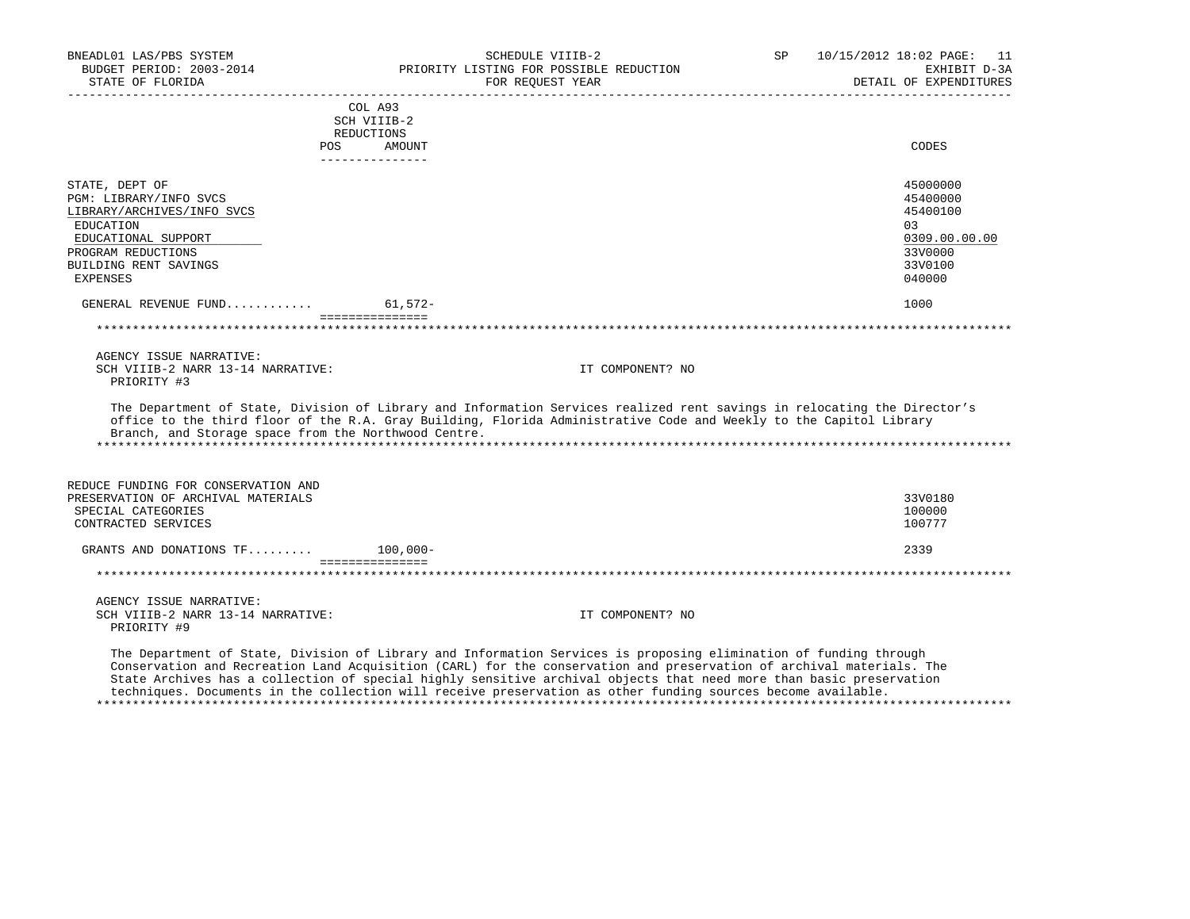| BNEADL01 LAS/PBS SYSTEM<br>BUDGET PERIOD: 2003-2014<br>STATE OF FLORIDA                                                                                               | SCHEDULE VIIIB-2<br>PRIORITY LISTING FOR POSSIBLE REDUCTION<br>FOR REOUEST YEAR                                                                                                                                                                                                                                                                                                                                                                                                  | <b>SP</b> | 10/15/2012 18:02 PAGE: 11<br>EXHIBIT D-3A<br>DETAIL OF EXPENDITURES                     |
|-----------------------------------------------------------------------------------------------------------------------------------------------------------------------|----------------------------------------------------------------------------------------------------------------------------------------------------------------------------------------------------------------------------------------------------------------------------------------------------------------------------------------------------------------------------------------------------------------------------------------------------------------------------------|-----------|-----------------------------------------------------------------------------------------|
|                                                                                                                                                                       | COL A93<br>SCH VIIIB-2<br>REDUCTIONS<br>POS<br>AMOUNT                                                                                                                                                                                                                                                                                                                                                                                                                            |           | CODES                                                                                   |
|                                                                                                                                                                       |                                                                                                                                                                                                                                                                                                                                                                                                                                                                                  |           |                                                                                         |
| STATE, DEPT OF<br>PGM: LIBRARY/INFO SVCS<br>LIBRARY/ARCHIVES/INFO SVCS<br>EDUCATION<br>EDUCATIONAL SUPPORT<br>PROGRAM REDUCTIONS<br>BUILDING RENT SAVINGS<br>EXPENSES |                                                                                                                                                                                                                                                                                                                                                                                                                                                                                  |           | 45000000<br>45400000<br>45400100<br>03<br>0309.00.00.00<br>33V0000<br>33V0100<br>040000 |
|                                                                                                                                                                       |                                                                                                                                                                                                                                                                                                                                                                                                                                                                                  |           |                                                                                         |
| GENERAL REVENUE FUND                                                                                                                                                  | $61,572-$<br>===============                                                                                                                                                                                                                                                                                                                                                                                                                                                     |           | 1000                                                                                    |
|                                                                                                                                                                       |                                                                                                                                                                                                                                                                                                                                                                                                                                                                                  |           |                                                                                         |
| AGENCY ISSUE NARRATIVE:<br>SCH VIIIB-2 NARR 13-14 NARRATIVE:<br>PRIORITY #3                                                                                           | IT COMPONENT? NO                                                                                                                                                                                                                                                                                                                                                                                                                                                                 |           |                                                                                         |
| Branch, and Storage space from the Northwood Centre.                                                                                                                  | The Department of State, Division of Library and Information Services realized rent savings in relocating the Director's<br>office to the third floor of the R.A. Gray Building, Florida Administrative Code and Weekly to the Capitol Library                                                                                                                                                                                                                                   |           |                                                                                         |
| REDUCE FUNDING FOR CONSERVATION AND                                                                                                                                   |                                                                                                                                                                                                                                                                                                                                                                                                                                                                                  |           |                                                                                         |
| PRESERVATION OF ARCHIVAL MATERIALS<br>SPECIAL CATEGORIES<br>CONTRACTED SERVICES                                                                                       |                                                                                                                                                                                                                                                                                                                                                                                                                                                                                  |           | 33V0180<br>100000<br>100777                                                             |
| GRANTS AND DONATIONS TF                                                                                                                                               | $100,000 -$                                                                                                                                                                                                                                                                                                                                                                                                                                                                      |           | 2339                                                                                    |
|                                                                                                                                                                       | ===============                                                                                                                                                                                                                                                                                                                                                                                                                                                                  |           |                                                                                         |
| AGENCY ISSUE NARRATIVE:<br>SCH VIIIB-2 NARR 13-14 NARRATIVE:<br>PRIORITY #9                                                                                           | IT COMPONENT? NO                                                                                                                                                                                                                                                                                                                                                                                                                                                                 |           |                                                                                         |
|                                                                                                                                                                       | The Department of State, Division of Library and Information Services is proposing elimination of funding through<br>Conservation and Recreation Land Acquisition (CARL) for the conservation and preservation of archival materials. The<br>State Archives has a collection of special highly sensitive archival objects that need more than basic preservation<br>techniques. Documents in the collection will receive preservation as other funding sources become available. |           |                                                                                         |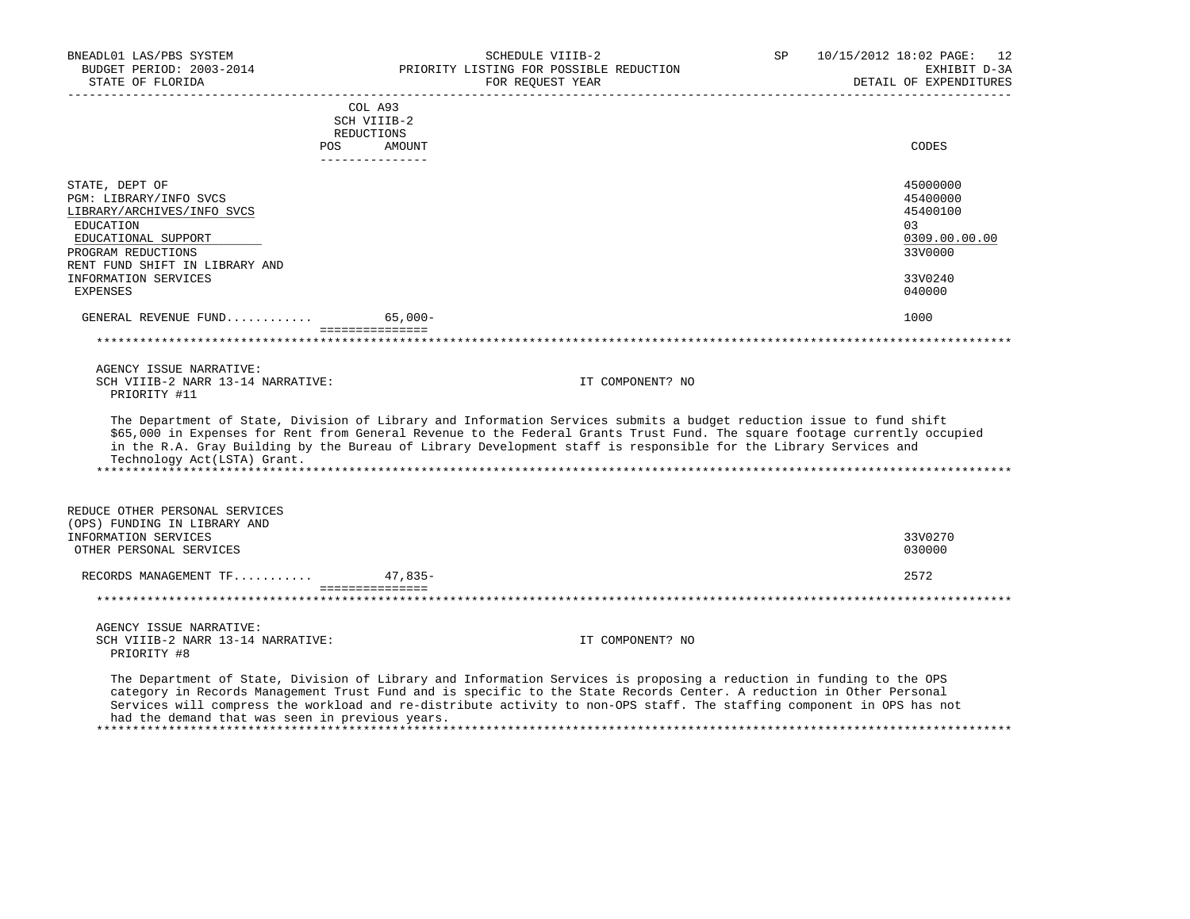| BNEADL01 LAS/PBS SYSTEM                                      | SCHEDULE VIIIB-2                                                                                                                                                                                                                                                                                                                                                       | SP | 10/15/2012 18:02 PAGE:<br>12           |
|--------------------------------------------------------------|------------------------------------------------------------------------------------------------------------------------------------------------------------------------------------------------------------------------------------------------------------------------------------------------------------------------------------------------------------------------|----|----------------------------------------|
| BUDGET PERIOD: 2003-2014<br>STATE OF FLORIDA                 | PRIORITY LISTING FOR POSSIBLE REDUCTION<br>FOR REQUEST YEAR                                                                                                                                                                                                                                                                                                            |    | EXHIBIT D-3A<br>DETAIL OF EXPENDITURES |
|                                                              | -------------------------                                                                                                                                                                                                                                                                                                                                              |    |                                        |
|                                                              | COL A93                                                                                                                                                                                                                                                                                                                                                                |    |                                        |
|                                                              | SCH VIIIB-2                                                                                                                                                                                                                                                                                                                                                            |    |                                        |
|                                                              | REDUCTIONS<br>POS<br>AMOUNT                                                                                                                                                                                                                                                                                                                                            |    | CODES                                  |
|                                                              | ---------------                                                                                                                                                                                                                                                                                                                                                        |    |                                        |
|                                                              |                                                                                                                                                                                                                                                                                                                                                                        |    |                                        |
| STATE, DEPT OF<br>PGM: LIBRARY/INFO SVCS                     |                                                                                                                                                                                                                                                                                                                                                                        |    | 45000000<br>45400000                   |
| LIBRARY/ARCHIVES/INFO SVCS                                   |                                                                                                                                                                                                                                                                                                                                                                        |    | 45400100                               |
| EDUCATION                                                    |                                                                                                                                                                                                                                                                                                                                                                        |    | 03                                     |
| EDUCATIONAL SUPPORT                                          |                                                                                                                                                                                                                                                                                                                                                                        |    | 0309.00.00.00                          |
| PROGRAM REDUCTIONS                                           |                                                                                                                                                                                                                                                                                                                                                                        |    | 33V0000                                |
| RENT FUND SHIFT IN LIBRARY AND                               |                                                                                                                                                                                                                                                                                                                                                                        |    |                                        |
| INFORMATION SERVICES                                         |                                                                                                                                                                                                                                                                                                                                                                        |    | 33V0240                                |
| <b>EXPENSES</b>                                              |                                                                                                                                                                                                                                                                                                                                                                        |    | 040000                                 |
| GENERAL REVENUE FUND                                         | $65.000 -$                                                                                                                                                                                                                                                                                                                                                             |    | 1000                                   |
|                                                              | ===============                                                                                                                                                                                                                                                                                                                                                        |    |                                        |
|                                                              |                                                                                                                                                                                                                                                                                                                                                                        |    |                                        |
| AGENCY ISSUE NARRATIVE:<br>SCH VIIIB-2 NARR 13-14 NARRATIVE: | IT COMPONENT? NO                                                                                                                                                                                                                                                                                                                                                       |    |                                        |
| PRIORITY #11                                                 |                                                                                                                                                                                                                                                                                                                                                                        |    |                                        |
| Technology Act(LSTA) Grant.                                  | The Department of State, Division of Library and Information Services submits a budget reduction issue to fund shift<br>\$65,000 in Expenses for Rent from General Revenue to the Federal Grants Trust Fund. The square footage currently occupied<br>in the R.A. Gray Building by the Bureau of Library Development staff is responsible for the Library Services and |    |                                        |
|                                                              |                                                                                                                                                                                                                                                                                                                                                                        |    |                                        |
| REDUCE OTHER PERSONAL SERVICES                               |                                                                                                                                                                                                                                                                                                                                                                        |    |                                        |
| (OPS) FUNDING IN LIBRARY AND                                 |                                                                                                                                                                                                                                                                                                                                                                        |    |                                        |
| INFORMATION SERVICES                                         |                                                                                                                                                                                                                                                                                                                                                                        |    | 33V0270                                |
| OTHER PERSONAL SERVICES                                      |                                                                                                                                                                                                                                                                                                                                                                        |    | 030000                                 |
| RECORDS MANAGEMENT TF                                        | $47,835-$                                                                                                                                                                                                                                                                                                                                                              |    | 2572                                   |
|                                                              | ===============                                                                                                                                                                                                                                                                                                                                                        |    |                                        |
|                                                              |                                                                                                                                                                                                                                                                                                                                                                        |    |                                        |
| AGENCY ISSUE NARRATIVE:                                      |                                                                                                                                                                                                                                                                                                                                                                        |    |                                        |
| SCH VIIIB-2 NARR 13-14 NARRATIVE:                            | IT COMPONENT? NO                                                                                                                                                                                                                                                                                                                                                       |    |                                        |
| PRIORITY #8                                                  |                                                                                                                                                                                                                                                                                                                                                                        |    |                                        |
| had the demand that was seen in previous years.              | The Department of State, Division of Library and Information Services is proposing a reduction in funding to the OPS<br>category in Records Management Trust Fund and is specific to the State Records Center. A reduction in Other Personal<br>Services will compress the workload and re-distribute activity to non-OPS staff. The staffing component in OPS has not |    |                                        |

\*\*\*\*\*\*\*\*\*\*\*\*\*\*\*\*\*\*\*\*\*\*\*\*\*\*\*\*\*\*\*\*\*\*\*\*\*\*\*\*\*\*\*\*\*\*\*\*\*\*\*\*\*\*\*\*\*\*\*\*\*\*\*\*\*\*\*\*\*\*\*\*\*\*\*\*\*\*\*\*\*\*\*\*\*\*\*\*\*\*\*\*\*\*\*\*\*\*\*\*\*\*\*\*\*\*\*\*\*\*\*\*\*\*\*\*\*\*\*\*\*\*\*\*\*\*\*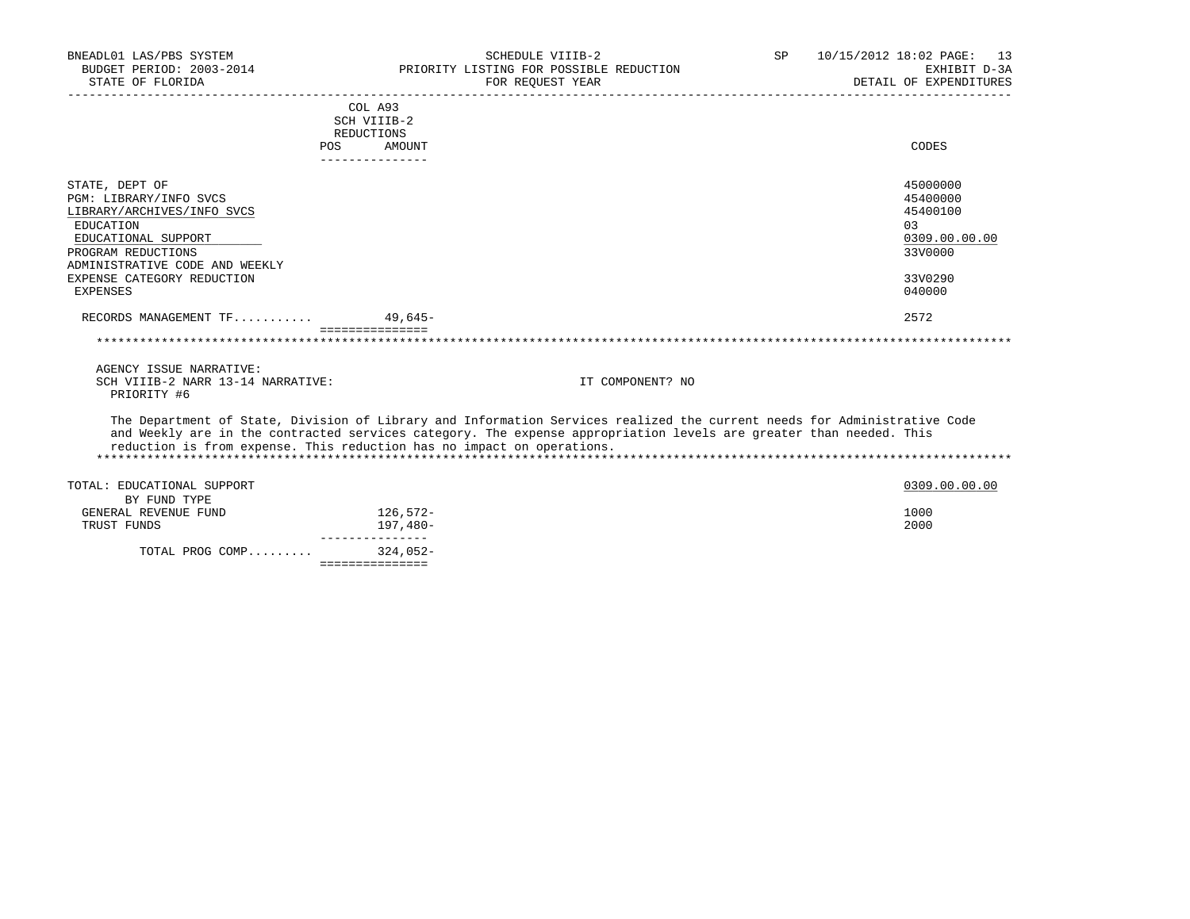| BNEADL01 LAS/PBS SYSTEM                          |                                                                                                                                                                                                                                                                                                                          | SCHEDULE VIIIB-2                        | SP. | 10/15/2012 18:02 PAGE: 13 |               |
|--------------------------------------------------|--------------------------------------------------------------------------------------------------------------------------------------------------------------------------------------------------------------------------------------------------------------------------------------------------------------------------|-----------------------------------------|-----|---------------------------|---------------|
| BUDGET PERIOD: 2003-2014                         |                                                                                                                                                                                                                                                                                                                          | PRIORITY LISTING FOR POSSIBLE REDUCTION |     | DETAIL OF EXPENDITURES    | EXHIBIT D-3A  |
| STATE OF FLORIDA                                 |                                                                                                                                                                                                                                                                                                                          | FOR REOUEST YEAR                        |     |                           |               |
|                                                  | COL A93                                                                                                                                                                                                                                                                                                                  |                                         |     |                           |               |
|                                                  | SCH VIIIB-2                                                                                                                                                                                                                                                                                                              |                                         |     |                           |               |
|                                                  | REDUCTIONS                                                                                                                                                                                                                                                                                                               |                                         |     |                           |               |
|                                                  | <b>POS</b><br>AMOUNT                                                                                                                                                                                                                                                                                                     |                                         |     | CODES                     |               |
|                                                  | ---------------                                                                                                                                                                                                                                                                                                          |                                         |     |                           |               |
| STATE, DEPT OF                                   |                                                                                                                                                                                                                                                                                                                          |                                         |     | 45000000                  |               |
| PGM: LIBRARY/INFO SVCS                           |                                                                                                                                                                                                                                                                                                                          |                                         |     | 45400000                  |               |
| LIBRARY/ARCHIVES/INFO SVCS                       |                                                                                                                                                                                                                                                                                                                          |                                         |     | 45400100                  |               |
| EDUCATION                                        |                                                                                                                                                                                                                                                                                                                          |                                         |     | 0.3                       |               |
| EDUCATIONAL SUPPORT                              |                                                                                                                                                                                                                                                                                                                          |                                         |     |                           | 0309.00.00.00 |
| PROGRAM REDUCTIONS                               |                                                                                                                                                                                                                                                                                                                          |                                         |     | 33V0000                   |               |
| ADMINISTRATIVE CODE AND WEEKLY                   |                                                                                                                                                                                                                                                                                                                          |                                         |     |                           |               |
| EXPENSE CATEGORY REDUCTION                       |                                                                                                                                                                                                                                                                                                                          |                                         |     | 33V0290                   |               |
| <b>EXPENSES</b>                                  |                                                                                                                                                                                                                                                                                                                          |                                         |     | 040000                    |               |
| RECORDS MANAGEMENT $TF$ 49,645-                  |                                                                                                                                                                                                                                                                                                                          |                                         |     | 2572                      |               |
|                                                  |                                                                                                                                                                                                                                                                                                                          |                                         |     |                           |               |
| AGENCY ISSUE NARRATIVE:                          |                                                                                                                                                                                                                                                                                                                          |                                         |     |                           |               |
| SCH VIIIB-2 NARR 13-14 NARRATIVE:<br>PRIORITY #6 |                                                                                                                                                                                                                                                                                                                          | IT COMPONENT? NO                        |     |                           |               |
|                                                  | The Department of State, Division of Library and Information Services realized the current needs for Administrative Code<br>and Weekly are in the contracted services category. The expense appropriation levels are greater than needed. This<br>reduction is from expense. This reduction has no impact on operations. |                                         |     |                           |               |
|                                                  |                                                                                                                                                                                                                                                                                                                          |                                         |     |                           |               |
| TOTAL: EDUCATIONAL SUPPORT                       |                                                                                                                                                                                                                                                                                                                          |                                         |     |                           | 0309.00.00.00 |
| BY FUND TYPE                                     |                                                                                                                                                                                                                                                                                                                          |                                         |     |                           |               |
| GENERAL REVENUE FUND                             | 126,572-                                                                                                                                                                                                                                                                                                                 |                                         |     | 1000                      |               |
| TRUST FUNDS                                      | 197,480-                                                                                                                                                                                                                                                                                                                 |                                         |     | 2000                      |               |
|                                                  | ----------------                                                                                                                                                                                                                                                                                                         |                                         |     |                           |               |
| TOTAL PROG COMP                                  | $324.052-$                                                                                                                                                                                                                                                                                                               |                                         |     |                           |               |
|                                                  | ===============                                                                                                                                                                                                                                                                                                          |                                         |     |                           |               |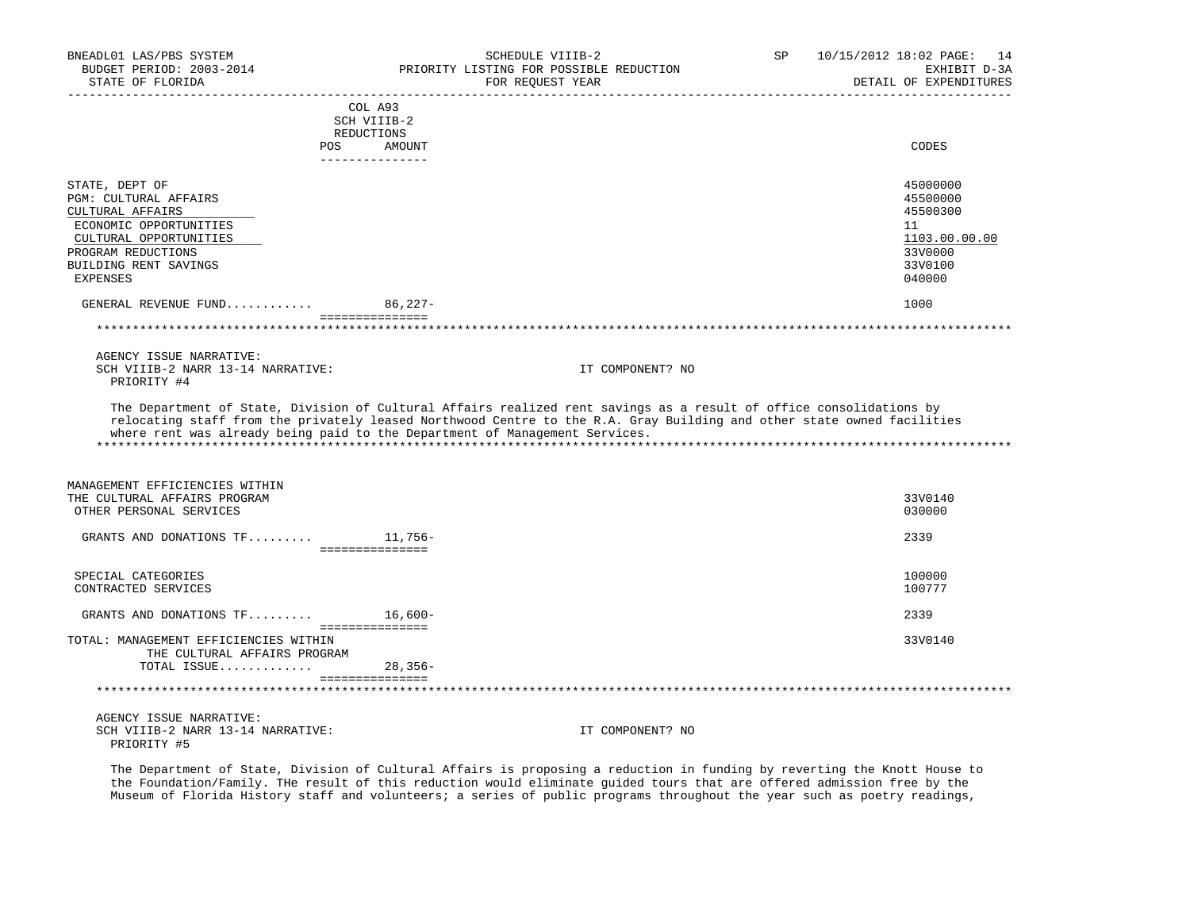| BNEADL01 LAS/PBS SYSTEM<br>BUDGET PERIOD: 2003-2014<br>STATE OF FLORIDA                                                                                                           | SCHEDULE VIIIB-2<br>PRIORITY LISTING FOR POSSIBLE REDUCTION<br>FOR REQUEST YEAR                                                                                                                                                                                                                                              | SP | 10/15/2012 18:02 PAGE: 14<br>EXHIBIT D-3A<br>DETAIL OF EXPENDITURES<br>_______________________ |
|-----------------------------------------------------------------------------------------------------------------------------------------------------------------------------------|------------------------------------------------------------------------------------------------------------------------------------------------------------------------------------------------------------------------------------------------------------------------------------------------------------------------------|----|------------------------------------------------------------------------------------------------|
|                                                                                                                                                                                   | COL A93<br>SCH VIIIB-2<br>REDUCTIONS<br>POS AMOUNT<br>_______________                                                                                                                                                                                                                                                        |    | CODES                                                                                          |
| STATE, DEPT OF<br>PGM: CULTURAL AFFAIRS<br>CULTURAL AFFAIRS<br>ECONOMIC OPPORTUNITIES<br>CULTURAL OPPORTUNITIES<br>PROGRAM REDUCTIONS<br>BUILDING RENT SAVINGS<br><b>EXPENSES</b> |                                                                                                                                                                                                                                                                                                                              |    | 45000000<br>45500000<br>45500300<br>11<br>1103.00.00.00<br>33V0000<br>33V0100<br>040000        |
| GENERAL REVENUE FUND 86,227-                                                                                                                                                      |                                                                                                                                                                                                                                                                                                                              |    | 1000                                                                                           |
|                                                                                                                                                                                   | ================                                                                                                                                                                                                                                                                                                             |    |                                                                                                |
| AGENCY ISSUE NARRATIVE:<br>SCH VIIIB-2 NARR 13-14 NARRATIVE:<br>PRIORITY #4                                                                                                       | IT COMPONENT? NO                                                                                                                                                                                                                                                                                                             |    |                                                                                                |
|                                                                                                                                                                                   | The Department of State, Division of Cultural Affairs realized rent savings as a result of office consolidations by<br>relocating staff from the privately leased Northwood Centre to the R.A. Gray Building and other state owned facilities<br>where rent was already being paid to the Department of Management Services. |    |                                                                                                |
| MANAGEMENT EFFICIENCIES WITHIN<br>THE CULTURAL AFFAIRS PROGRAM<br>OTHER PERSONAL SERVICES                                                                                         |                                                                                                                                                                                                                                                                                                                              |    | 33V0140<br>030000                                                                              |
| GRANTS AND DONATIONS $TF$ 11,756-                                                                                                                                                 | ===============                                                                                                                                                                                                                                                                                                              |    | 2339                                                                                           |
| SPECIAL CATEGORIES<br>CONTRACTED SERVICES                                                                                                                                         |                                                                                                                                                                                                                                                                                                                              |    | 100000<br>100777                                                                               |
| GRANTS AND DONATIONS $TF$ 16,600-                                                                                                                                                 |                                                                                                                                                                                                                                                                                                                              |    | 2339                                                                                           |
| TOTAL: MANAGEMENT EFFICIENCIES WITHIN<br>THE CULTURAL AFFAIRS PROGRAM<br>TOTAL ISSUE 28,356-                                                                                      | and a consequence of the contract of the contract of the contract of the contract of the contract of the contract of the contract of the contract of the contract of the contract of the contract of the contract of the contr                                                                                               |    | 33V0140                                                                                        |
|                                                                                                                                                                                   | ===============                                                                                                                                                                                                                                                                                                              |    |                                                                                                |
| AGENCY ISSUE NARRATIVE:<br>SCH VIIIB-2 NARR 13-14 NARRATIVE:<br>PRIORITY #5                                                                                                       | IT COMPONENT? NO                                                                                                                                                                                                                                                                                                             |    |                                                                                                |

 The Department of State, Division of Cultural Affairs is proposing a reduction in funding by reverting the Knott House to the Foundation/Family. THe result of this reduction would eliminate guided tours that are offered admission free by the Museum of Florida History staff and volunteers; a series of public programs throughout the year such as poetry readings,